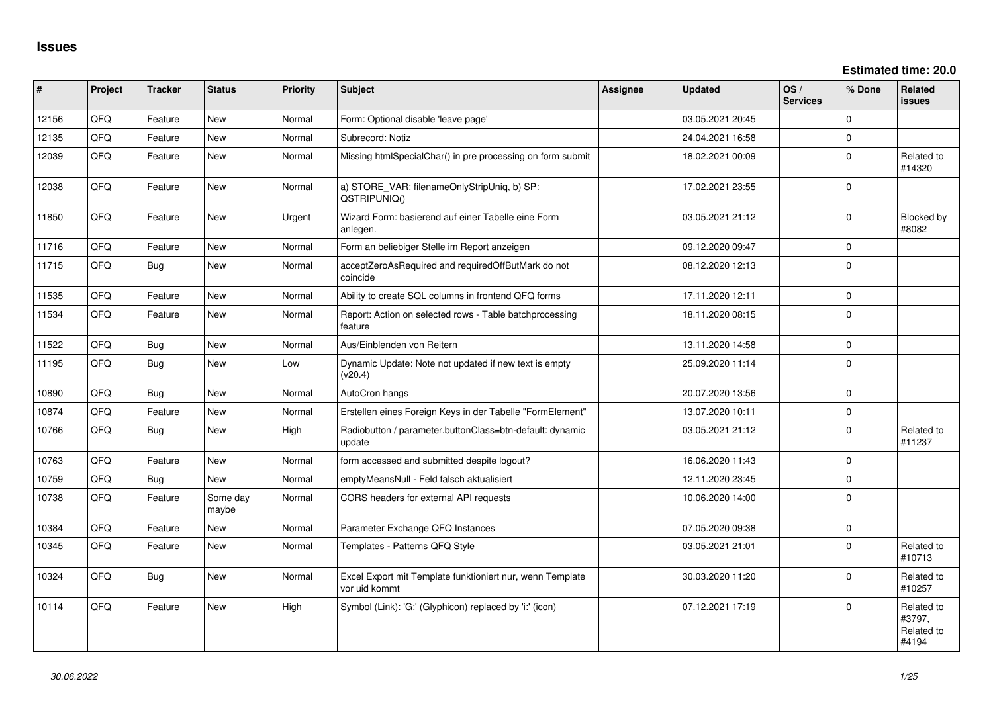**Estimated time: 20.0**

| #     | Project | <b>Tracker</b> | <b>Status</b>     | <b>Priority</b> | <b>Subject</b>                                                             | <b>Assignee</b> | <b>Updated</b>   | OS/<br><b>Services</b> | % Done         | Related<br>issues                           |
|-------|---------|----------------|-------------------|-----------------|----------------------------------------------------------------------------|-----------------|------------------|------------------------|----------------|---------------------------------------------|
| 12156 | QFQ     | Feature        | <b>New</b>        | Normal          | Form: Optional disable 'leave page'                                        |                 | 03.05.2021 20:45 |                        | $\Omega$       |                                             |
| 12135 | QFQ     | Feature        | <b>New</b>        | Normal          | Subrecord: Notiz                                                           |                 | 24.04.2021 16:58 |                        | $\mathbf 0$    |                                             |
| 12039 | QFQ     | Feature        | New               | Normal          | Missing htmlSpecialChar() in pre processing on form submit                 |                 | 18.02.2021 00:09 |                        | $\Omega$       | Related to<br>#14320                        |
| 12038 | QFQ     | Feature        | <b>New</b>        | Normal          | a) STORE_VAR: filenameOnlyStripUniq, b) SP:<br>QSTRIPUNIQ()                |                 | 17.02.2021 23:55 |                        | $\Omega$       |                                             |
| 11850 | QFQ     | Feature        | <b>New</b>        | Urgent          | Wizard Form: basierend auf einer Tabelle eine Form<br>anlegen.             |                 | 03.05.2021 21:12 |                        | $\overline{0}$ | Blocked by<br>#8082                         |
| 11716 | QFQ     | Feature        | <b>New</b>        | Normal          | Form an beliebiger Stelle im Report anzeigen                               |                 | 09.12.2020 09:47 |                        | $\Omega$       |                                             |
| 11715 | QFQ     | Bug            | <b>New</b>        | Normal          | acceptZeroAsRequired and requiredOffButMark do not<br>coincide             |                 | 08.12.2020 12:13 |                        | $\overline{0}$ |                                             |
| 11535 | QFQ     | Feature        | <b>New</b>        | Normal          | Ability to create SQL columns in frontend QFQ forms                        |                 | 17.11.2020 12:11 |                        | $\mathbf 0$    |                                             |
| 11534 | QFQ     | Feature        | <b>New</b>        | Normal          | Report: Action on selected rows - Table batchprocessing<br>feature         |                 | 18.11.2020 08:15 |                        | $\overline{0}$ |                                             |
| 11522 | QFQ     | Bug            | <b>New</b>        | Normal          | Aus/Einblenden von Reitern                                                 |                 | 13.11.2020 14:58 |                        | $\mathbf 0$    |                                             |
| 11195 | QFQ     | Bug            | <b>New</b>        | Low             | Dynamic Update: Note not updated if new text is empty<br>(v20.4)           |                 | 25.09.2020 11:14 |                        | $\Omega$       |                                             |
| 10890 | QFQ     | Bug            | <b>New</b>        | Normal          | AutoCron hangs                                                             |                 | 20.07.2020 13:56 |                        | $\Omega$       |                                             |
| 10874 | QFQ     | Feature        | New               | Normal          | Erstellen eines Foreign Keys in der Tabelle "FormElement"                  |                 | 13.07.2020 10:11 |                        | $\Omega$       |                                             |
| 10766 | QFQ     | <b>Bug</b>     | <b>New</b>        | High            | Radiobutton / parameter.buttonClass=btn-default: dynamic<br>update         |                 | 03.05.2021 21:12 |                        | $\overline{0}$ | Related to<br>#11237                        |
| 10763 | QFQ     | Feature        | <b>New</b>        | Normal          | form accessed and submitted despite logout?                                |                 | 16.06.2020 11:43 |                        | $\overline{0}$ |                                             |
| 10759 | QFQ     | Bug            | <b>New</b>        | Normal          | emptyMeansNull - Feld falsch aktualisiert                                  |                 | 12.11.2020 23:45 |                        | $\Omega$       |                                             |
| 10738 | QFQ     | Feature        | Some day<br>maybe | Normal          | CORS headers for external API requests                                     |                 | 10.06.2020 14:00 |                        | $\Omega$       |                                             |
| 10384 | QFQ     | Feature        | <b>New</b>        | Normal          | Parameter Exchange QFQ Instances                                           |                 | 07.05.2020 09:38 |                        | $\Omega$       |                                             |
| 10345 | QFQ     | Feature        | New               | Normal          | Templates - Patterns QFQ Style                                             |                 | 03.05.2021 21:01 |                        | $\Omega$       | Related to<br>#10713                        |
| 10324 | QFQ     | <b>Bug</b>     | <b>New</b>        | Normal          | Excel Export mit Template funktioniert nur, wenn Template<br>vor uid kommt |                 | 30.03.2020 11:20 |                        | $\Omega$       | Related to<br>#10257                        |
| 10114 | QFQ     | Feature        | <b>New</b>        | High            | Symbol (Link): 'G:' (Glyphicon) replaced by 'i:' (icon)                    |                 | 07.12.2021 17:19 |                        | $\Omega$       | Related to<br>#3797,<br>Related to<br>#4194 |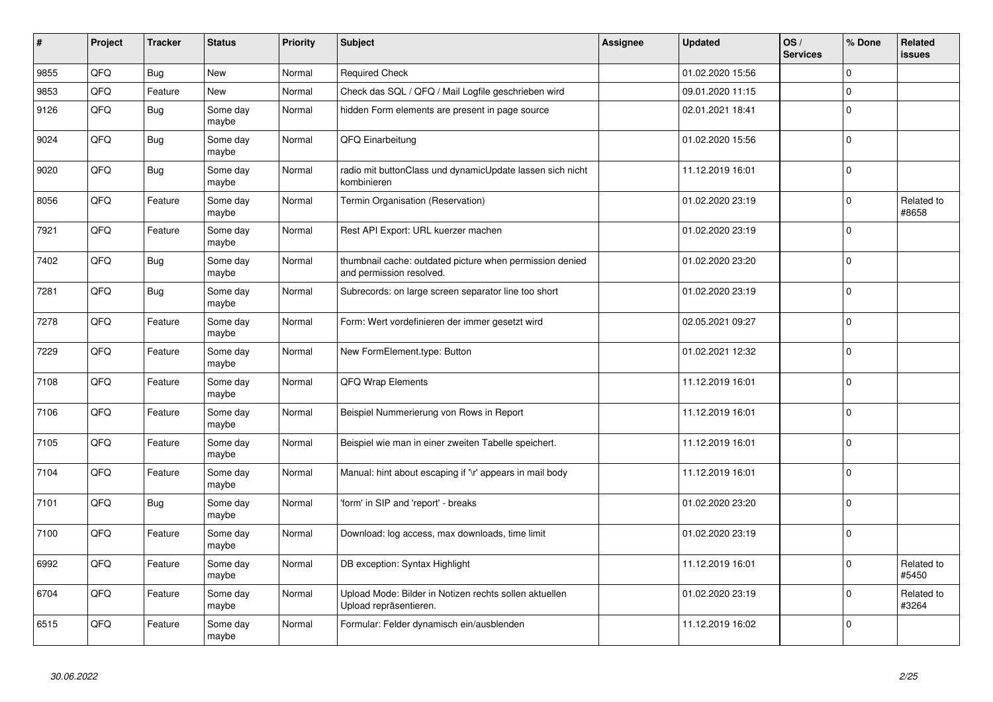| #    | Project | <b>Tracker</b> | <b>Status</b>     | <b>Priority</b> | <b>Subject</b>                                                                       | Assignee | <b>Updated</b>   | OS/<br><b>Services</b> | % Done      | Related<br>issues   |
|------|---------|----------------|-------------------|-----------------|--------------------------------------------------------------------------------------|----------|------------------|------------------------|-------------|---------------------|
| 9855 | QFQ     | Bug            | <b>New</b>        | Normal          | <b>Required Check</b>                                                                |          | 01.02.2020 15:56 |                        | $\Omega$    |                     |
| 9853 | QFQ     | Feature        | <b>New</b>        | Normal          | Check das SQL / QFQ / Mail Logfile geschrieben wird                                  |          | 09.01.2020 11:15 |                        | $\Omega$    |                     |
| 9126 | QFQ     | Bug            | Some day<br>maybe | Normal          | hidden Form elements are present in page source                                      |          | 02.01.2021 18:41 |                        | $\Omega$    |                     |
| 9024 | QFQ     | Bug            | Some day<br>maybe | Normal          | QFQ Einarbeitung                                                                     |          | 01.02.2020 15:56 |                        | $\Omega$    |                     |
| 9020 | QFQ     | <b>Bug</b>     | Some day<br>maybe | Normal          | radio mit buttonClass und dynamicUpdate lassen sich nicht<br>kombinieren             |          | 11.12.2019 16:01 |                        | $\Omega$    |                     |
| 8056 | QFQ     | Feature        | Some day<br>maybe | Normal          | Termin Organisation (Reservation)                                                    |          | 01.02.2020 23:19 |                        | $\mathbf 0$ | Related to<br>#8658 |
| 7921 | QFQ     | Feature        | Some day<br>maybe | Normal          | Rest API Export: URL kuerzer machen                                                  |          | 01.02.2020 23:19 |                        | $\Omega$    |                     |
| 7402 | QFQ     | Bug            | Some day<br>maybe | Normal          | thumbnail cache: outdated picture when permission denied<br>and permission resolved. |          | 01.02.2020 23:20 |                        | $\Omega$    |                     |
| 7281 | QFQ     | Bug            | Some day<br>maybe | Normal          | Subrecords: on large screen separator line too short                                 |          | 01.02.2020 23:19 |                        | $\Omega$    |                     |
| 7278 | QFQ     | Feature        | Some day<br>maybe | Normal          | Form: Wert vordefinieren der immer gesetzt wird                                      |          | 02.05.2021 09:27 |                        | $\mathbf 0$ |                     |
| 7229 | QFQ     | Feature        | Some day<br>maybe | Normal          | New FormElement.type: Button                                                         |          | 01.02.2021 12:32 |                        | $\Omega$    |                     |
| 7108 | QFQ     | Feature        | Some day<br>maybe | Normal          | QFQ Wrap Elements                                                                    |          | 11.12.2019 16:01 |                        | $\Omega$    |                     |
| 7106 | QFQ     | Feature        | Some day<br>maybe | Normal          | Beispiel Nummerierung von Rows in Report                                             |          | 11.12.2019 16:01 |                        | $\Omega$    |                     |
| 7105 | QFQ     | Feature        | Some day<br>maybe | Normal          | Beispiel wie man in einer zweiten Tabelle speichert.                                 |          | 11.12.2019 16:01 |                        | $\Omega$    |                     |
| 7104 | QFQ     | Feature        | Some day<br>maybe | Normal          | Manual: hint about escaping if '\r' appears in mail body                             |          | 11.12.2019 16:01 |                        | $\Omega$    |                     |
| 7101 | QFQ     | <b>Bug</b>     | Some day<br>maybe | Normal          | 'form' in SIP and 'report' - breaks                                                  |          | 01.02.2020 23:20 |                        | $\mathbf 0$ |                     |
| 7100 | QFQ     | Feature        | Some day<br>maybe | Normal          | Download: log access, max downloads, time limit                                      |          | 01.02.2020 23:19 |                        | $\Omega$    |                     |
| 6992 | QFQ     | Feature        | Some day<br>maybe | Normal          | DB exception: Syntax Highlight                                                       |          | 11.12.2019 16:01 |                        | $\Omega$    | Related to<br>#5450 |
| 6704 | QFQ     | Feature        | Some day<br>maybe | Normal          | Upload Mode: Bilder in Notizen rechts sollen aktuellen<br>Upload repräsentieren.     |          | 01.02.2020 23:19 |                        | $\mathbf 0$ | Related to<br>#3264 |
| 6515 | QFQ     | Feature        | Some day<br>maybe | Normal          | Formular: Felder dynamisch ein/ausblenden                                            |          | 11.12.2019 16:02 |                        | $\mathbf 0$ |                     |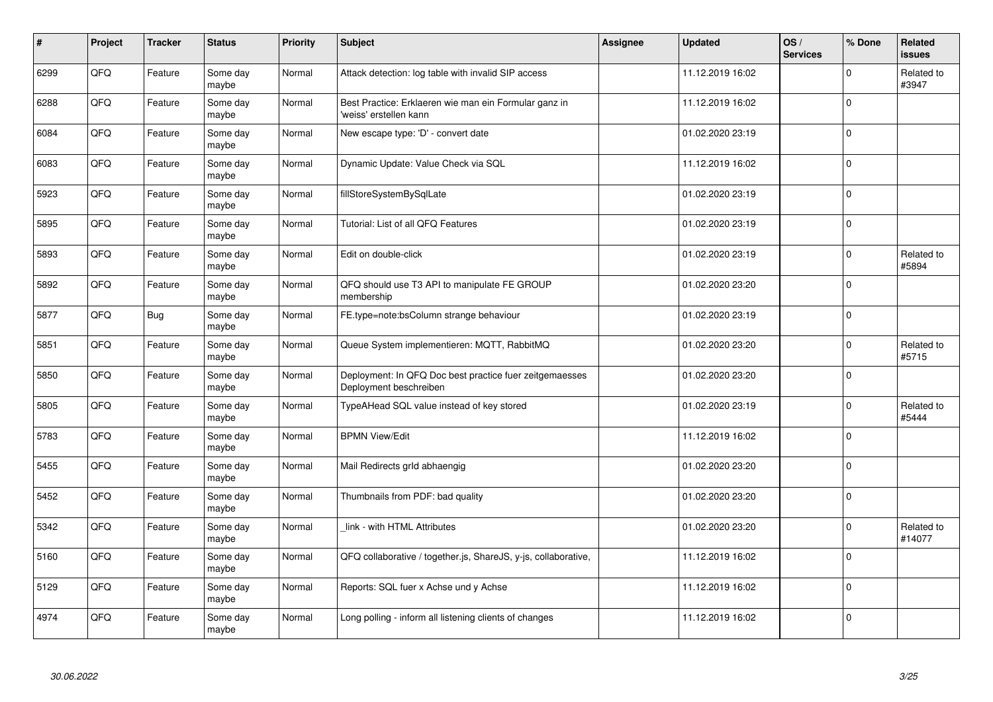| $\vert$ # | Project | <b>Tracker</b> | <b>Status</b>     | <b>Priority</b> | <b>Subject</b>                                                                    | Assignee | <b>Updated</b>   | OS/<br><b>Services</b> | % Done      | Related<br><b>issues</b> |
|-----------|---------|----------------|-------------------|-----------------|-----------------------------------------------------------------------------------|----------|------------------|------------------------|-------------|--------------------------|
| 6299      | QFQ     | Feature        | Some day<br>maybe | Normal          | Attack detection: log table with invalid SIP access                               |          | 11.12.2019 16:02 |                        | $\Omega$    | Related to<br>#3947      |
| 6288      | QFQ     | Feature        | Some day<br>maybe | Normal          | Best Practice: Erklaeren wie man ein Formular ganz in<br>'weiss' erstellen kann   |          | 11.12.2019 16:02 |                        | $\Omega$    |                          |
| 6084      | QFQ     | Feature        | Some day<br>maybe | Normal          | New escape type: 'D' - convert date                                               |          | 01.02.2020 23:19 |                        | $\Omega$    |                          |
| 6083      | QFQ     | Feature        | Some day<br>maybe | Normal          | Dynamic Update: Value Check via SQL                                               |          | 11.12.2019 16:02 |                        | $\Omega$    |                          |
| 5923      | QFQ     | Feature        | Some day<br>maybe | Normal          | fillStoreSystemBySqlLate                                                          |          | 01.02.2020 23:19 |                        | $\Omega$    |                          |
| 5895      | QFQ     | Feature        | Some day<br>maybe | Normal          | Tutorial: List of all QFQ Features                                                |          | 01.02.2020 23:19 |                        | $\Omega$    |                          |
| 5893      | QFQ     | Feature        | Some day<br>maybe | Normal          | Edit on double-click                                                              |          | 01.02.2020 23:19 |                        | 0           | Related to<br>#5894      |
| 5892      | QFQ     | Feature        | Some day<br>maybe | Normal          | QFQ should use T3 API to manipulate FE GROUP<br>membership                        |          | 01.02.2020 23:20 |                        | $\Omega$    |                          |
| 5877      | QFQ     | <b>Bug</b>     | Some day<br>maybe | Normal          | FE.type=note:bsColumn strange behaviour                                           |          | 01.02.2020 23:19 |                        | $\Omega$    |                          |
| 5851      | QFQ     | Feature        | Some day<br>maybe | Normal          | Queue System implementieren: MQTT, RabbitMQ                                       |          | 01.02.2020 23:20 |                        | $\mathbf 0$ | Related to<br>#5715      |
| 5850      | QFQ     | Feature        | Some day<br>maybe | Normal          | Deployment: In QFQ Doc best practice fuer zeitgemaesses<br>Deployment beschreiben |          | 01.02.2020 23:20 |                        | $\Omega$    |                          |
| 5805      | QFQ     | Feature        | Some day<br>maybe | Normal          | TypeAHead SQL value instead of key stored                                         |          | 01.02.2020 23:19 |                        | $\Omega$    | Related to<br>#5444      |
| 5783      | QFQ     | Feature        | Some day<br>maybe | Normal          | <b>BPMN View/Edit</b>                                                             |          | 11.12.2019 16:02 |                        | $\mathbf 0$ |                          |
| 5455      | QFQ     | Feature        | Some day<br>maybe | Normal          | Mail Redirects grld abhaengig                                                     |          | 01.02.2020 23:20 |                        | 0           |                          |
| 5452      | QFQ     | Feature        | Some day<br>maybe | Normal          | Thumbnails from PDF: bad quality                                                  |          | 01.02.2020 23:20 |                        | $\Omega$    |                          |
| 5342      | QFQ     | Feature        | Some day<br>maybe | Normal          | link - with HTML Attributes                                                       |          | 01.02.2020 23:20 |                        | $\Omega$    | Related to<br>#14077     |
| 5160      | QFQ     | Feature        | Some day<br>maybe | Normal          | QFQ collaborative / together.js, ShareJS, y-js, collaborative,                    |          | 11.12.2019 16:02 |                        | $\Omega$    |                          |
| 5129      | QFQ     | Feature        | Some day<br>maybe | Normal          | Reports: SQL fuer x Achse und y Achse                                             |          | 11.12.2019 16:02 |                        | 0           |                          |
| 4974      | QFQ     | Feature        | Some day<br>maybe | Normal          | Long polling - inform all listening clients of changes                            |          | 11.12.2019 16:02 |                        | $\Omega$    |                          |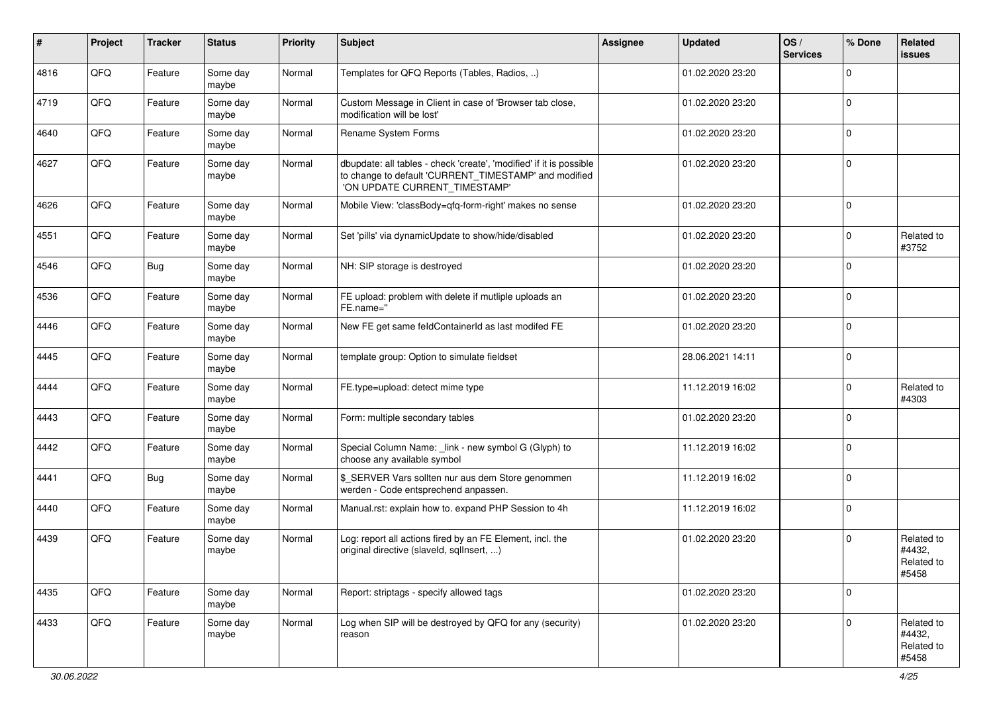| #    | Project | <b>Tracker</b> | <b>Status</b>     | <b>Priority</b> | <b>Subject</b>                                                                                                                                                | <b>Assignee</b> | <b>Updated</b>   | OS/<br><b>Services</b> | % Done       | Related<br>issues                           |
|------|---------|----------------|-------------------|-----------------|---------------------------------------------------------------------------------------------------------------------------------------------------------------|-----------------|------------------|------------------------|--------------|---------------------------------------------|
| 4816 | QFQ     | Feature        | Some day<br>maybe | Normal          | Templates for QFQ Reports (Tables, Radios, )                                                                                                                  |                 | 01.02.2020 23:20 |                        | $\Omega$     |                                             |
| 4719 | QFQ     | Feature        | Some day<br>maybe | Normal          | Custom Message in Client in case of 'Browser tab close,<br>modification will be lost'                                                                         |                 | 01.02.2020 23:20 |                        | $\mathbf 0$  |                                             |
| 4640 | QFQ     | Feature        | Some day<br>maybe | Normal          | Rename System Forms                                                                                                                                           |                 | 01.02.2020 23:20 |                        | $\Omega$     |                                             |
| 4627 | QFQ     | Feature        | Some day<br>maybe | Normal          | dbupdate: all tables - check 'create', 'modified' if it is possible<br>to change to default 'CURRENT_TIMESTAMP' and modified<br>'ON UPDATE CURRENT_TIMESTAMP' |                 | 01.02.2020 23:20 |                        | $\mathbf 0$  |                                             |
| 4626 | QFQ     | Feature        | Some day<br>maybe | Normal          | Mobile View: 'classBody=qfq-form-right' makes no sense                                                                                                        |                 | 01.02.2020 23:20 |                        | $\mathbf 0$  |                                             |
| 4551 | QFQ     | Feature        | Some day<br>maybe | Normal          | Set 'pills' via dynamicUpdate to show/hide/disabled                                                                                                           |                 | 01.02.2020 23:20 |                        | 0            | Related to<br>#3752                         |
| 4546 | QFQ     | <b>Bug</b>     | Some day<br>maybe | Normal          | NH: SIP storage is destroyed                                                                                                                                  |                 | 01.02.2020 23:20 |                        | $\Omega$     |                                             |
| 4536 | QFQ     | Feature        | Some day<br>maybe | Normal          | FE upload: problem with delete if mutliple uploads an<br>FE.name="                                                                                            |                 | 01.02.2020 23:20 |                        | $\Omega$     |                                             |
| 4446 | QFQ     | Feature        | Some day<br>maybe | Normal          | New FE get same feldContainerId as last modifed FE                                                                                                            |                 | 01.02.2020 23:20 |                        | $\Omega$     |                                             |
| 4445 | QFQ     | Feature        | Some day<br>maybe | Normal          | template group: Option to simulate fieldset                                                                                                                   |                 | 28.06.2021 14:11 |                        | $\mathbf 0$  |                                             |
| 4444 | QFQ     | Feature        | Some day<br>maybe | Normal          | FE.type=upload: detect mime type                                                                                                                              |                 | 11.12.2019 16:02 |                        | $\Omega$     | Related to<br>#4303                         |
| 4443 | QFQ     | Feature        | Some day<br>maybe | Normal          | Form: multiple secondary tables                                                                                                                               |                 | 01.02.2020 23:20 |                        | $\Omega$     |                                             |
| 4442 | QFQ     | Feature        | Some day<br>maybe | Normal          | Special Column Name: _link - new symbol G (Glyph) to<br>choose any available symbol                                                                           |                 | 11.12.2019 16:02 |                        | $\Omega$     |                                             |
| 4441 | QFQ     | <b>Bug</b>     | Some day<br>maybe | Normal          | \$ SERVER Vars sollten nur aus dem Store genommen<br>werden - Code entsprechend anpassen.                                                                     |                 | 11.12.2019 16:02 |                        | $\Omega$     |                                             |
| 4440 | QFQ     | Feature        | Some day<br>maybe | Normal          | Manual.rst: explain how to. expand PHP Session to 4h                                                                                                          |                 | 11.12.2019 16:02 |                        | $\Omega$     |                                             |
| 4439 | QFQ     | Feature        | Some day<br>maybe | Normal          | Log: report all actions fired by an FE Element, incl. the<br>original directive (slaveld, sqlInsert, )                                                        |                 | 01.02.2020 23:20 |                        | $\mathbf{0}$ | Related to<br>#4432,<br>Related to<br>#5458 |
| 4435 | QFQ     | Feature        | Some day<br>maybe | Normal          | Report: striptags - specify allowed tags                                                                                                                      |                 | 01.02.2020 23:20 |                        | $\Omega$     |                                             |
| 4433 | QFQ     | Feature        | Some day<br>maybe | Normal          | Log when SIP will be destroyed by QFQ for any (security)<br>reason                                                                                            |                 | 01.02.2020 23:20 |                        | $\Omega$     | Related to<br>#4432,<br>Related to<br>#5458 |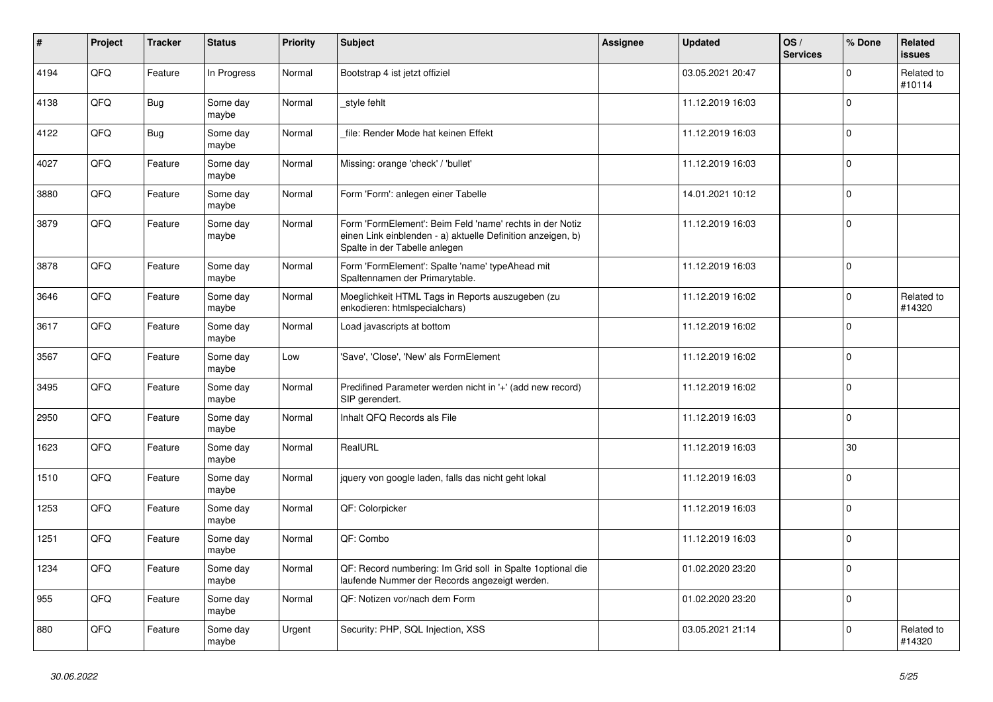| $\vert$ # | Project | <b>Tracker</b> | <b>Status</b>     | <b>Priority</b> | <b>Subject</b>                                                                                                                                           | Assignee | <b>Updated</b>   | OS/<br><b>Services</b> | % Done      | Related<br><b>issues</b> |
|-----------|---------|----------------|-------------------|-----------------|----------------------------------------------------------------------------------------------------------------------------------------------------------|----------|------------------|------------------------|-------------|--------------------------|
| 4194      | QFQ     | Feature        | In Progress       | Normal          | Bootstrap 4 ist jetzt offiziel                                                                                                                           |          | 03.05.2021 20:47 |                        | $\Omega$    | Related to<br>#10114     |
| 4138      | QFQ     | <b>Bug</b>     | Some day<br>maybe | Normal          | style fehlt                                                                                                                                              |          | 11.12.2019 16:03 |                        | $\mathbf 0$ |                          |
| 4122      | QFQ     | <b>Bug</b>     | Some day<br>maybe | Normal          | file: Render Mode hat keinen Effekt                                                                                                                      |          | 11.12.2019 16:03 |                        | $\Omega$    |                          |
| 4027      | QFQ     | Feature        | Some day<br>maybe | Normal          | Missing: orange 'check' / 'bullet'                                                                                                                       |          | 11.12.2019 16:03 |                        | $\Omega$    |                          |
| 3880      | QFQ     | Feature        | Some day<br>maybe | Normal          | Form 'Form': anlegen einer Tabelle                                                                                                                       |          | 14.01.2021 10:12 |                        | $\Omega$    |                          |
| 3879      | QFQ     | Feature        | Some day<br>maybe | Normal          | Form 'FormElement': Beim Feld 'name' rechts in der Notiz<br>einen Link einblenden - a) aktuelle Definition anzeigen, b)<br>Spalte in der Tabelle anlegen |          | 11.12.2019 16:03 |                        | $\Omega$    |                          |
| 3878      | QFQ     | Feature        | Some day<br>maybe | Normal          | Form 'FormElement': Spalte 'name' typeAhead mit<br>Spaltennamen der Primarytable.                                                                        |          | 11.12.2019 16:03 |                        | $\Omega$    |                          |
| 3646      | QFQ     | Feature        | Some day<br>maybe | Normal          | Moeglichkeit HTML Tags in Reports auszugeben (zu<br>enkodieren: htmlspecialchars)                                                                        |          | 11.12.2019 16:02 |                        | $\Omega$    | Related to<br>#14320     |
| 3617      | QFQ     | Feature        | Some day<br>maybe | Normal          | Load javascripts at bottom                                                                                                                               |          | 11.12.2019 16:02 |                        | $\Omega$    |                          |
| 3567      | QFQ     | Feature        | Some day<br>maybe | Low             | 'Save', 'Close', 'New' als FormElement                                                                                                                   |          | 11.12.2019 16:02 |                        | $\Omega$    |                          |
| 3495      | QFQ     | Feature        | Some day<br>maybe | Normal          | Predifined Parameter werden nicht in '+' (add new record)<br>SIP gerendert.                                                                              |          | 11.12.2019 16:02 |                        | $\Omega$    |                          |
| 2950      | QFQ     | Feature        | Some day<br>maybe | Normal          | Inhalt QFQ Records als File                                                                                                                              |          | 11.12.2019 16:03 |                        | $\Omega$    |                          |
| 1623      | QFQ     | Feature        | Some day<br>maybe | Normal          | RealURL                                                                                                                                                  |          | 11.12.2019 16:03 |                        | 30          |                          |
| 1510      | QFQ     | Feature        | Some day<br>maybe | Normal          | jquery von google laden, falls das nicht geht lokal                                                                                                      |          | 11.12.2019 16:03 |                        | $\Omega$    |                          |
| 1253      | QFQ     | Feature        | Some day<br>maybe | Normal          | QF: Colorpicker                                                                                                                                          |          | 11.12.2019 16:03 |                        | $\Omega$    |                          |
| 1251      | QFQ     | Feature        | Some day<br>maybe | Normal          | QF: Combo                                                                                                                                                |          | 11.12.2019 16:03 |                        | $\mathbf 0$ |                          |
| 1234      | QFQ     | Feature        | Some day<br>maybe | Normal          | QF: Record numbering: Im Grid soll in Spalte 1 optional die<br>laufende Nummer der Records angezeigt werden.                                             |          | 01.02.2020 23:20 |                        | $\Omega$    |                          |
| 955       | QFQ     | Feature        | Some day<br>maybe | Normal          | QF: Notizen vor/nach dem Form                                                                                                                            |          | 01.02.2020 23:20 |                        | $\Omega$    |                          |
| 880       | QFQ     | Feature        | Some day<br>maybe | Urgent          | Security: PHP, SQL Injection, XSS                                                                                                                        |          | 03.05.2021 21:14 |                        | $\Omega$    | Related to<br>#14320     |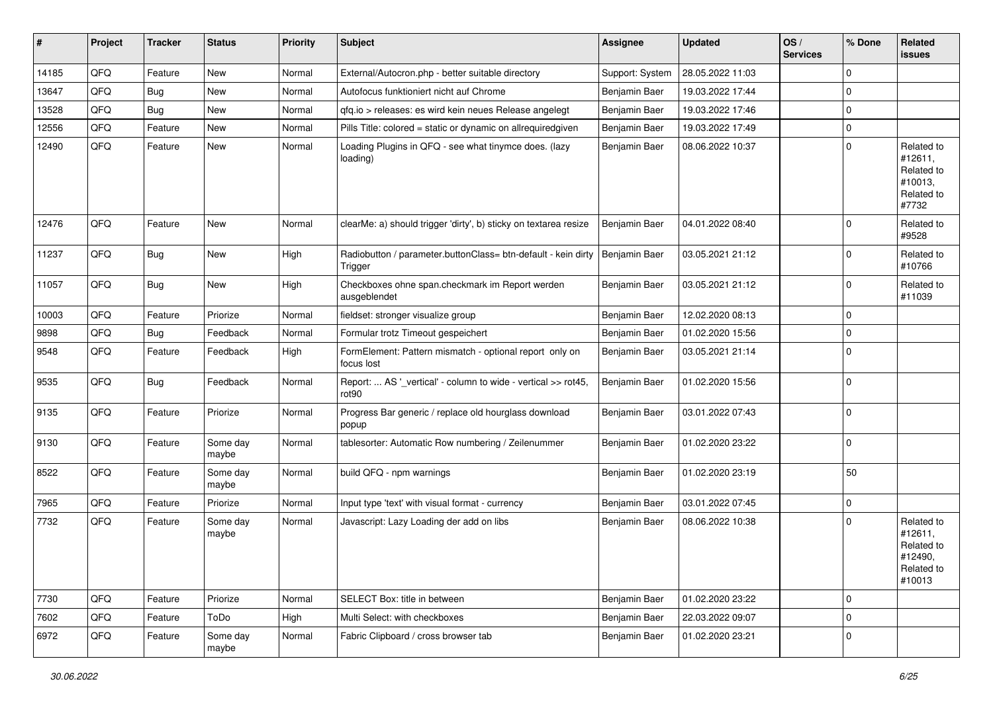| #     | Project | <b>Tracker</b> | <b>Status</b>     | <b>Priority</b> | <b>Subject</b>                                                                     | <b>Assignee</b> | <b>Updated</b>   | OS/<br><b>Services</b> | % Done      | Related<br>issues                                                      |
|-------|---------|----------------|-------------------|-----------------|------------------------------------------------------------------------------------|-----------------|------------------|------------------------|-------------|------------------------------------------------------------------------|
| 14185 | QFQ     | Feature        | <b>New</b>        | Normal          | External/Autocron.php - better suitable directory                                  | Support: System | 28.05.2022 11:03 |                        | $\mathbf 0$ |                                                                        |
| 13647 | QFQ     | Bug            | New               | Normal          | Autofocus funktioniert nicht auf Chrome                                            | Benjamin Baer   | 19.03.2022 17:44 |                        | $\mathbf 0$ |                                                                        |
| 13528 | QFQ     | <b>Bug</b>     | <b>New</b>        | Normal          | qfq.io > releases: es wird kein neues Release angelegt                             | Benjamin Baer   | 19.03.2022 17:46 |                        | $\mathbf 0$ |                                                                        |
| 12556 | QFQ     | Feature        | <b>New</b>        | Normal          | Pills Title: colored = static or dynamic on allrequiredgiven                       | Benjamin Baer   | 19.03.2022 17:49 |                        | $\mathbf 0$ |                                                                        |
| 12490 | QFQ     | Feature        | New               | Normal          | Loading Plugins in QFQ - see what tinymce does. (lazy<br>loading)                  | Benjamin Baer   | 08.06.2022 10:37 |                        | $\mathbf 0$ | Related to<br>#12611,<br>Related to<br>#10013.<br>Related to<br>#7732  |
| 12476 | QFQ     | Feature        | New               | Normal          | clearMe: a) should trigger 'dirty', b) sticky on textarea resize                   | Benjamin Baer   | 04.01.2022 08:40 |                        | $\Omega$    | Related to<br>#9528                                                    |
| 11237 | QFQ     | <b>Bug</b>     | New               | High            | Radiobutton / parameter.buttonClass= btn-default - kein dirty<br>Trigger           | Benjamin Baer   | 03.05.2021 21:12 |                        | $\mathbf 0$ | Related to<br>#10766                                                   |
| 11057 | QFQ     | <b>Bug</b>     | New               | High            | Checkboxes ohne span.checkmark im Report werden<br>ausgeblendet                    | Benjamin Baer   | 03.05.2021 21:12 |                        | $\mathbf 0$ | Related to<br>#11039                                                   |
| 10003 | QFQ     | Feature        | Priorize          | Normal          | fieldset: stronger visualize group                                                 | Benjamin Baer   | 12.02.2020 08:13 |                        | $\mathbf 0$ |                                                                        |
| 9898  | QFQ     | Bug            | Feedback          | Normal          | Formular trotz Timeout gespeichert                                                 | Benjamin Baer   | 01.02.2020 15:56 |                        | $\mathbf 0$ |                                                                        |
| 9548  | QFQ     | Feature        | Feedback          | High            | FormElement: Pattern mismatch - optional report only on<br>focus lost              | Benjamin Baer   | 03.05.2021 21:14 |                        | $\mathbf 0$ |                                                                        |
| 9535  | QFQ     | Bug            | Feedback          | Normal          | Report:  AS '_vertical' - column to wide - vertical >> rot45,<br>rot <sub>90</sub> | Benjamin Baer   | 01.02.2020 15:56 |                        | $\mathbf 0$ |                                                                        |
| 9135  | QFQ     | Feature        | Priorize          | Normal          | Progress Bar generic / replace old hourglass download<br>popup                     | Benjamin Baer   | 03.01.2022 07:43 |                        | $\mathbf 0$ |                                                                        |
| 9130  | QFQ     | Feature        | Some day<br>maybe | Normal          | tablesorter: Automatic Row numbering / Zeilenummer                                 | Benjamin Baer   | 01.02.2020 23:22 |                        | $\mathbf 0$ |                                                                        |
| 8522  | QFQ     | Feature        | Some day<br>maybe | Normal          | build QFQ - npm warnings                                                           | Benjamin Baer   | 01.02.2020 23:19 |                        | 50          |                                                                        |
| 7965  | QFQ     | Feature        | Priorize          | Normal          | Input type 'text' with visual format - currency                                    | Benjamin Baer   | 03.01.2022 07:45 |                        | $\mathbf 0$ |                                                                        |
| 7732  | QFQ     | Feature        | Some day<br>maybe | Normal          | Javascript: Lazy Loading der add on libs                                           | Benjamin Baer   | 08.06.2022 10:38 |                        | $\mathbf 0$ | Related to<br>#12611,<br>Related to<br>#12490,<br>Related to<br>#10013 |
| 7730  | QFQ     | Feature        | Priorize          | Normal          | SELECT Box: title in between                                                       | Benjamin Baer   | 01.02.2020 23:22 |                        | $\mathbf 0$ |                                                                        |
| 7602  | QFQ     | Feature        | ToDo              | High            | Multi Select: with checkboxes                                                      | Benjamin Baer   | 22.03.2022 09:07 |                        | $\mathbf 0$ |                                                                        |
| 6972  | QFQ     | Feature        | Some day<br>maybe | Normal          | Fabric Clipboard / cross browser tab                                               | Benjamin Baer   | 01.02.2020 23:21 |                        | 0           |                                                                        |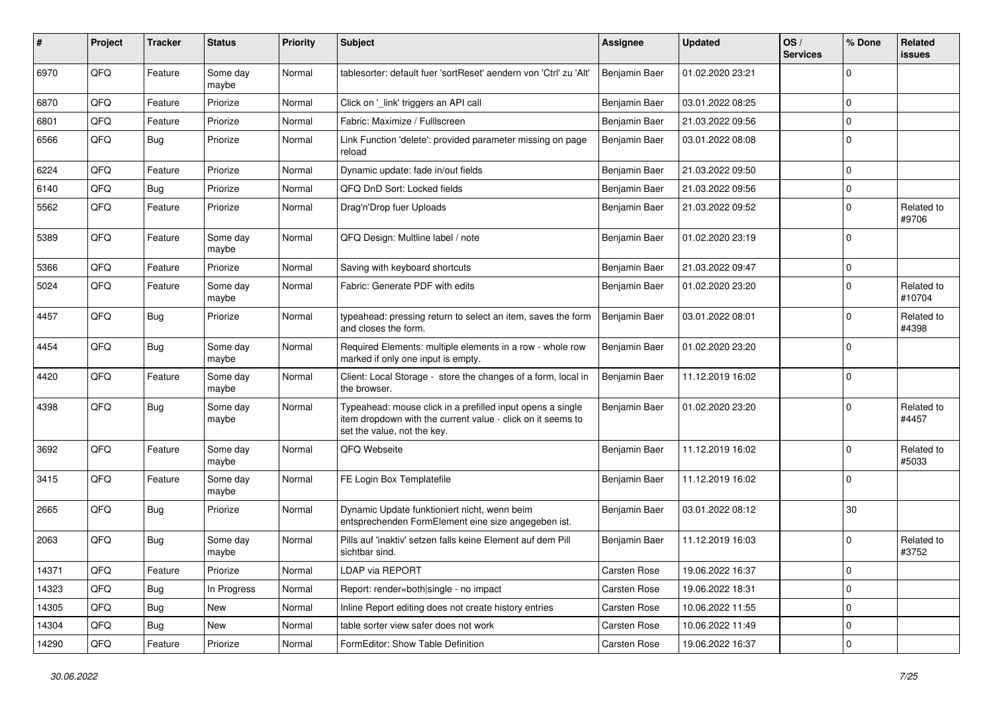| #     | Project | <b>Tracker</b> | <b>Status</b>     | <b>Priority</b> | <b>Subject</b>                                                                                                                                           | Assignee      | <b>Updated</b>   | OS/<br><b>Services</b> | % Done       | Related<br>issues    |
|-------|---------|----------------|-------------------|-----------------|----------------------------------------------------------------------------------------------------------------------------------------------------------|---------------|------------------|------------------------|--------------|----------------------|
| 6970  | QFQ     | Feature        | Some day<br>maybe | Normal          | tablesorter: default fuer 'sortReset' aendern von 'Ctrl' zu 'Alt'                                                                                        | Benjamin Baer | 01.02.2020 23:21 |                        | $\Omega$     |                      |
| 6870  | QFQ     | Feature        | Priorize          | Normal          | Click on '_link' triggers an API call                                                                                                                    | Benjamin Baer | 03.01.2022 08:25 |                        | $\mathbf 0$  |                      |
| 6801  | QFQ     | Feature        | Priorize          | Normal          | Fabric: Maximize / Fulllscreen                                                                                                                           | Benjamin Baer | 21.03.2022 09:56 |                        | $\Omega$     |                      |
| 6566  | QFQ     | Bug            | Priorize          | Normal          | Link Function 'delete': provided parameter missing on page<br>reload                                                                                     | Benjamin Baer | 03.01.2022 08:08 |                        | $\Omega$     |                      |
| 6224  | QFQ     | Feature        | Priorize          | Normal          | Dynamic update: fade in/out fields                                                                                                                       | Benjamin Baer | 21.03.2022 09:50 |                        | $\mathbf 0$  |                      |
| 6140  | QFQ     | Bug            | Priorize          | Normal          | QFQ DnD Sort: Locked fields                                                                                                                              | Benjamin Baer | 21.03.2022 09:56 |                        | $\mathbf 0$  |                      |
| 5562  | QFQ     | Feature        | Priorize          | Normal          | Drag'n'Drop fuer Uploads                                                                                                                                 | Benjamin Baer | 21.03.2022 09:52 |                        | 0            | Related to<br>#9706  |
| 5389  | QFQ     | Feature        | Some day<br>maybe | Normal          | QFQ Design: Multline label / note                                                                                                                        | Benjamin Baer | 01.02.2020 23:19 |                        | $\mathbf{0}$ |                      |
| 5366  | QFQ     | Feature        | Priorize          | Normal          | Saving with keyboard shortcuts                                                                                                                           | Benjamin Baer | 21.03.2022 09:47 |                        | $\mathbf 0$  |                      |
| 5024  | QFQ     | Feature        | Some day<br>maybe | Normal          | Fabric: Generate PDF with edits                                                                                                                          | Benjamin Baer | 01.02.2020 23:20 |                        | $\Omega$     | Related to<br>#10704 |
| 4457  | QFQ     | Bug            | Priorize          | Normal          | typeahead: pressing return to select an item, saves the form<br>and closes the form.                                                                     | Benjamin Baer | 03.01.2022 08:01 |                        | $\Omega$     | Related to<br>#4398  |
| 4454  | QFQ     | Bug            | Some day<br>maybe | Normal          | Required Elements: multiple elements in a row - whole row<br>marked if only one input is empty.                                                          | Benjamin Baer | 01.02.2020 23:20 |                        | $\mathbf{0}$ |                      |
| 4420  | QFQ     | Feature        | Some day<br>maybe | Normal          | Client: Local Storage - store the changes of a form, local in<br>the browser.                                                                            | Benjamin Baer | 11.12.2019 16:02 |                        | $\mathbf 0$  |                      |
| 4398  | QFQ     | Bug            | Some day<br>maybe | Normal          | Typeahead: mouse click in a prefilled input opens a single<br>item dropdown with the current value - click on it seems to<br>set the value, not the key. | Benjamin Baer | 01.02.2020 23:20 |                        | $\mathbf{0}$ | Related to<br>#4457  |
| 3692  | QFQ     | Feature        | Some day<br>maybe | Normal          | QFQ Webseite                                                                                                                                             | Benjamin Baer | 11.12.2019 16:02 |                        | $\Omega$     | Related to<br>#5033  |
| 3415  | QFQ     | Feature        | Some day<br>maybe | Normal          | FE Login Box Templatefile                                                                                                                                | Benjamin Baer | 11.12.2019 16:02 |                        | $\Omega$     |                      |
| 2665  | QFQ     | Bug            | Priorize          | Normal          | Dynamic Update funktioniert nicht, wenn beim<br>entsprechenden FormElement eine size angegeben ist.                                                      | Benjamin Baer | 03.01.2022 08:12 |                        | 30           |                      |
| 2063  | QFQ     | <b>Bug</b>     | Some day<br>maybe | Normal          | Pills auf 'inaktiv' setzen falls keine Element auf dem Pill<br>sichtbar sind.                                                                            | Benjamin Baer | 11.12.2019 16:03 |                        | $\mathbf 0$  | Related to<br>#3752  |
| 14371 | QFQ     | Feature        | Priorize          | Normal          | LDAP via REPORT                                                                                                                                          | Carsten Rose  | 19.06.2022 16:37 |                        | 0            |                      |
| 14323 | QFQ     | <b>Bug</b>     | In Progress       | Normal          | Report: render=both single - no impact                                                                                                                   | Carsten Rose  | 19.06.2022 18:31 |                        | $\mathbf 0$  |                      |
| 14305 | QFQ     | <b>Bug</b>     | New               | Normal          | Inline Report editing does not create history entries                                                                                                    | Carsten Rose  | 10.06.2022 11:55 |                        | 0            |                      |
| 14304 | QFQ     | <b>Bug</b>     | New               | Normal          | table sorter view safer does not work                                                                                                                    | Carsten Rose  | 10.06.2022 11:49 |                        | $\mathbf 0$  |                      |
| 14290 | QFQ     | Feature        | Priorize          | Normal          | FormEditor: Show Table Definition                                                                                                                        | Carsten Rose  | 19.06.2022 16:37 |                        | $\mathbf 0$  |                      |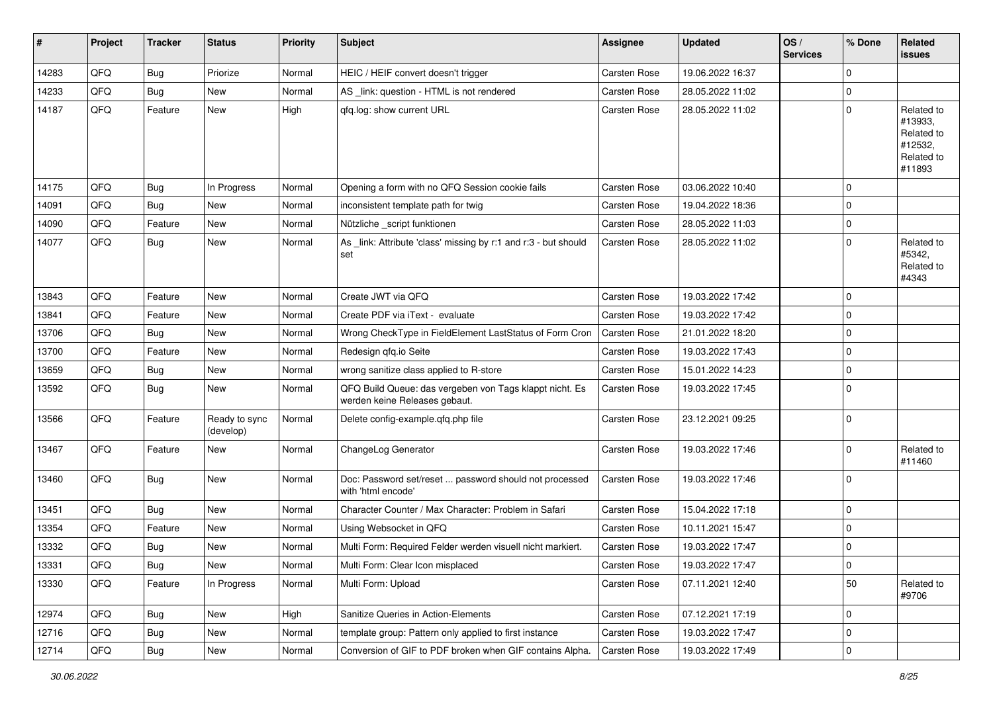| $\sharp$ | Project | <b>Tracker</b> | <b>Status</b>              | <b>Priority</b> | Subject                                                                                  | <b>Assignee</b>     | <b>Updated</b>   | OS/<br><b>Services</b> | % Done      | Related<br>issues                                                      |
|----------|---------|----------------|----------------------------|-----------------|------------------------------------------------------------------------------------------|---------------------|------------------|------------------------|-------------|------------------------------------------------------------------------|
| 14283    | QFQ     | Bug            | Priorize                   | Normal          | HEIC / HEIF convert doesn't trigger                                                      | <b>Carsten Rose</b> | 19.06.2022 16:37 |                        | $\Omega$    |                                                                        |
| 14233    | QFQ     | Bug            | New                        | Normal          | AS _link: question - HTML is not rendered                                                | <b>Carsten Rose</b> | 28.05.2022 11:02 |                        | $\Omega$    |                                                                        |
| 14187    | QFQ     | Feature        | New                        | High            | qfq.log: show current URL                                                                | <b>Carsten Rose</b> | 28.05.2022 11:02 |                        | $\Omega$    | Related to<br>#13933,<br>Related to<br>#12532,<br>Related to<br>#11893 |
| 14175    | QFQ     | Bug            | In Progress                | Normal          | Opening a form with no QFQ Session cookie fails                                          | <b>Carsten Rose</b> | 03.06.2022 10:40 |                        | $\mathbf 0$ |                                                                        |
| 14091    | QFQ     | Bug            | New                        | Normal          | inconsistent template path for twig                                                      | <b>Carsten Rose</b> | 19.04.2022 18:36 |                        | $\mathbf 0$ |                                                                        |
| 14090    | QFQ     | Feature        | New                        | Normal          | Nützliche _script funktionen                                                             | <b>Carsten Rose</b> | 28.05.2022 11:03 |                        | 0           |                                                                        |
| 14077    | QFQ     | <b>Bug</b>     | New                        | Normal          | As _link: Attribute 'class' missing by r:1 and r:3 - but should<br>set                   | <b>Carsten Rose</b> | 28.05.2022 11:02 |                        | $\Omega$    | Related to<br>#5342,<br>Related to<br>#4343                            |
| 13843    | QFQ     | Feature        | <b>New</b>                 | Normal          | Create JWT via QFQ                                                                       | <b>Carsten Rose</b> | 19.03.2022 17:42 |                        | $\Omega$    |                                                                        |
| 13841    | QFQ     | Feature        | <b>New</b>                 | Normal          | Create PDF via iText - evaluate                                                          | Carsten Rose        | 19.03.2022 17:42 |                        | $\Omega$    |                                                                        |
| 13706    | QFQ     | Bug            | <b>New</b>                 | Normal          | Wrong CheckType in FieldElement LastStatus of Form Cron                                  | <b>Carsten Rose</b> | 21.01.2022 18:20 |                        | $\mathbf 0$ |                                                                        |
| 13700    | QFQ     | Feature        | <b>New</b>                 | Normal          | Redesign qfq.io Seite                                                                    | Carsten Rose        | 19.03.2022 17:43 |                        | $\Omega$    |                                                                        |
| 13659    | QFQ     | Bug            | <b>New</b>                 | Normal          | wrong sanitize class applied to R-store                                                  | <b>Carsten Rose</b> | 15.01.2022 14:23 |                        | $\mathbf 0$ |                                                                        |
| 13592    | QFQ     | Bug            | New                        | Normal          | QFQ Build Queue: das vergeben von Tags klappt nicht. Es<br>werden keine Releases gebaut. | Carsten Rose        | 19.03.2022 17:45 |                        | $\Omega$    |                                                                        |
| 13566    | QFQ     | Feature        | Ready to sync<br>(develop) | Normal          | Delete config-example.qfq.php file                                                       | <b>Carsten Rose</b> | 23.12.2021 09:25 |                        | $\Omega$    |                                                                        |
| 13467    | QFQ     | Feature        | New                        | Normal          | ChangeLog Generator                                                                      | Carsten Rose        | 19.03.2022 17:46 |                        | $\Omega$    | Related to<br>#11460                                                   |
| 13460    | QFQ     | Bug            | <b>New</b>                 | Normal          | Doc: Password set/reset  password should not processed<br>with 'html encode'             | Carsten Rose        | 19.03.2022 17:46 |                        | $\Omega$    |                                                                        |
| 13451    | QFQ     | Bug            | <b>New</b>                 | Normal          | Character Counter / Max Character: Problem in Safari                                     | <b>Carsten Rose</b> | 15.04.2022 17:18 |                        | 0           |                                                                        |
| 13354    | QFQ     | Feature        | New                        | Normal          | Using Websocket in QFQ                                                                   | <b>Carsten Rose</b> | 10.11.2021 15:47 |                        | $\mathbf 0$ |                                                                        |
| 13332    | QFQ     | <b>Bug</b>     | <b>New</b>                 | Normal          | Multi Form: Required Felder werden visuell nicht markiert.                               | Carsten Rose        | 19.03.2022 17:47 |                        | $\Omega$    |                                                                        |
| 13331    | QFQ     | Bug            | New                        | Normal          | Multi Form: Clear Icon misplaced                                                         | Carsten Rose        | 19.03.2022 17:47 |                        | 0           |                                                                        |
| 13330    | QFQ     | Feature        | In Progress                | Normal          | Multi Form: Upload                                                                       | Carsten Rose        | 07.11.2021 12:40 |                        | 50          | Related to<br>#9706                                                    |
| 12974    | QFQ     | <b>Bug</b>     | New                        | High            | Sanitize Queries in Action-Elements                                                      | Carsten Rose        | 07.12.2021 17:19 |                        | $\mathbf 0$ |                                                                        |
| 12716    | QFQ     | Bug            | New                        | Normal          | template group: Pattern only applied to first instance                                   | Carsten Rose        | 19.03.2022 17:47 |                        | 0           |                                                                        |
| 12714    | QFQ     | <b>Bug</b>     | New                        | Normal          | Conversion of GIF to PDF broken when GIF contains Alpha.                                 | <b>Carsten Rose</b> | 19.03.2022 17:49 |                        | 0           |                                                                        |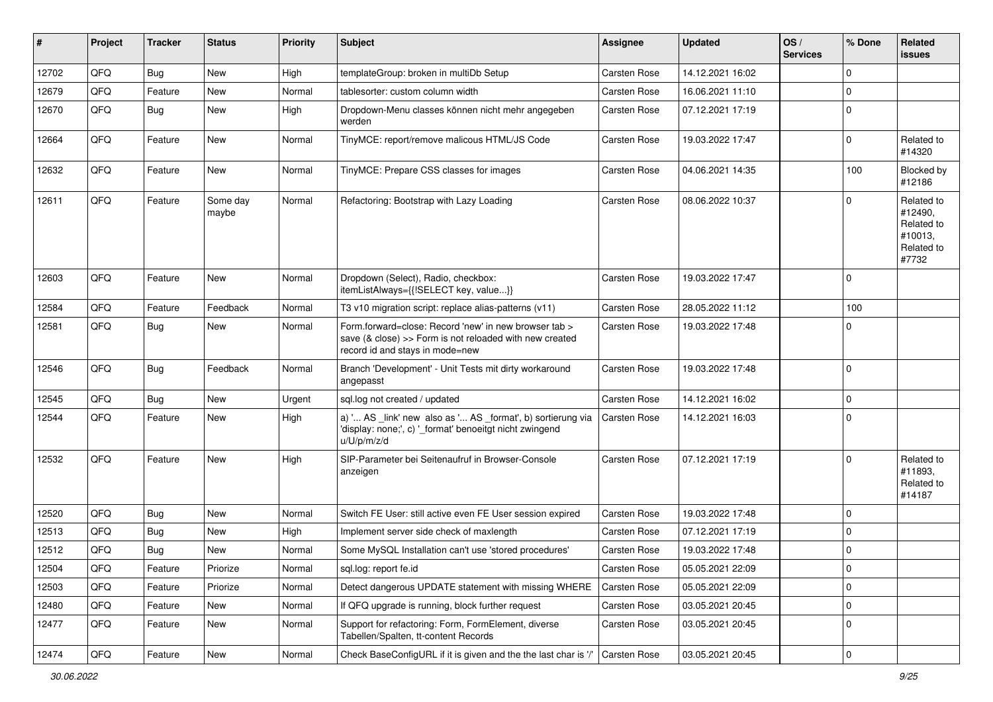| #     | Project | <b>Tracker</b> | <b>Status</b>     | <b>Priority</b> | <b>Subject</b>                                                                                                                                      | Assignee            | <b>Updated</b>   | OS/<br><b>Services</b> | % Done      | Related<br>issues                                                     |
|-------|---------|----------------|-------------------|-----------------|-----------------------------------------------------------------------------------------------------------------------------------------------------|---------------------|------------------|------------------------|-------------|-----------------------------------------------------------------------|
| 12702 | QFQ     | <b>Bug</b>     | <b>New</b>        | High            | templateGroup: broken in multiDb Setup                                                                                                              | Carsten Rose        | 14.12.2021 16:02 |                        | $\mathbf 0$ |                                                                       |
| 12679 | QFQ     | Feature        | New               | Normal          | tablesorter: custom column width                                                                                                                    | Carsten Rose        | 16.06.2021 11:10 |                        | $\mathbf 0$ |                                                                       |
| 12670 | QFQ     | Bug            | New               | High            | Dropdown-Menu classes können nicht mehr angegeben<br>werden                                                                                         | Carsten Rose        | 07.12.2021 17:19 |                        | $\mathbf 0$ |                                                                       |
| 12664 | QFQ     | Feature        | New               | Normal          | TinyMCE: report/remove malicous HTML/JS Code                                                                                                        | Carsten Rose        | 19.03.2022 17:47 |                        | $\mathbf 0$ | Related to<br>#14320                                                  |
| 12632 | QFQ     | Feature        | <b>New</b>        | Normal          | TinyMCE: Prepare CSS classes for images                                                                                                             | Carsten Rose        | 04.06.2021 14:35 |                        | 100         | Blocked by<br>#12186                                                  |
| 12611 | QFQ     | Feature        | Some day<br>maybe | Normal          | Refactoring: Bootstrap with Lazy Loading                                                                                                            | <b>Carsten Rose</b> | 08.06.2022 10:37 |                        | $\Omega$    | Related to<br>#12490,<br>Related to<br>#10013,<br>Related to<br>#7732 |
| 12603 | QFQ     | Feature        | <b>New</b>        | Normal          | Dropdown (Select), Radio, checkbox:<br>itemListAlways={{!SELECT key, value}}                                                                        | Carsten Rose        | 19.03.2022 17:47 |                        | $\mathbf 0$ |                                                                       |
| 12584 | QFQ     | Feature        | Feedback          | Normal          | T3 v10 migration script: replace alias-patterns (v11)                                                                                               | Carsten Rose        | 28.05.2022 11:12 |                        | 100         |                                                                       |
| 12581 | QFQ     | <b>Bug</b>     | <b>New</b>        | Normal          | Form.forward=close: Record 'new' in new browser tab ><br>save (& close) >> Form is not reloaded with new created<br>record id and stays in mode=new | Carsten Rose        | 19.03.2022 17:48 |                        | $\mathbf 0$ |                                                                       |
| 12546 | QFQ     | <b>Bug</b>     | Feedback          | Normal          | Branch 'Development' - Unit Tests mit dirty workaround<br>angepasst                                                                                 | Carsten Rose        | 19.03.2022 17:48 |                        | $\mathbf 0$ |                                                                       |
| 12545 | QFQ     | <b>Bug</b>     | <b>New</b>        | Urgent          | sql.log not created / updated                                                                                                                       | Carsten Rose        | 14.12.2021 16:02 |                        | $\mathbf 0$ |                                                                       |
| 12544 | QFQ     | Feature        | <b>New</b>        | High            | a) ' AS _link' new also as ' AS _format', b) sortierung via<br>'display: none;', c) '_format' benoeitgt nicht zwingend<br>u/U/p/m/z/d               | Carsten Rose        | 14.12.2021 16:03 |                        | $\mathbf 0$ |                                                                       |
| 12532 | QFQ     | Feature        | <b>New</b>        | High            | SIP-Parameter bei Seitenaufruf in Browser-Console<br>anzeigen                                                                                       | Carsten Rose        | 07.12.2021 17:19 |                        | $\mathbf 0$ | Related to<br>#11893,<br>Related to<br>#14187                         |
| 12520 | QFQ     | <b>Bug</b>     | <b>New</b>        | Normal          | Switch FE User: still active even FE User session expired                                                                                           | Carsten Rose        | 19.03.2022 17:48 |                        | $\mathbf 0$ |                                                                       |
| 12513 | QFQ     | <b>Bug</b>     | New               | High            | Implement server side check of maxlength                                                                                                            | Carsten Rose        | 07.12.2021 17:19 |                        | $\mathbf 0$ |                                                                       |
| 12512 | QFQ     | <b>Bug</b>     | New               | Normal          | Some MySQL Installation can't use 'stored procedures'                                                                                               | Carsten Rose        | 19.03.2022 17:48 |                        | $\mathbf 0$ |                                                                       |
| 12504 | QFQ     | Feature        | Priorize          | Normal          | sql.log: report fe.id                                                                                                                               | Carsten Rose        | 05.05.2021 22:09 |                        | $\mathbf 0$ |                                                                       |
| 12503 | QFQ     | Feature        | Priorize          | Normal          | Detect dangerous UPDATE statement with missing WHERE                                                                                                | Carsten Rose        | 05.05.2021 22:09 |                        | $\mathbf 0$ |                                                                       |
| 12480 | QFQ     | Feature        | <b>New</b>        | Normal          | If QFQ upgrade is running, block further request                                                                                                    | Carsten Rose        | 03.05.2021 20:45 |                        | $\mathbf 0$ |                                                                       |
| 12477 | QFQ     | Feature        | New               | Normal          | Support for refactoring: Form, FormElement, diverse<br>Tabellen/Spalten, tt-content Records                                                         | Carsten Rose        | 03.05.2021 20:45 |                        | $\mathbf 0$ |                                                                       |
| 12474 | QFQ     | Feature        | New               | Normal          | Check BaseConfigURL if it is given and the the last char is '/'                                                                                     | Carsten Rose        | 03.05.2021 20:45 |                        | $\mathbf 0$ |                                                                       |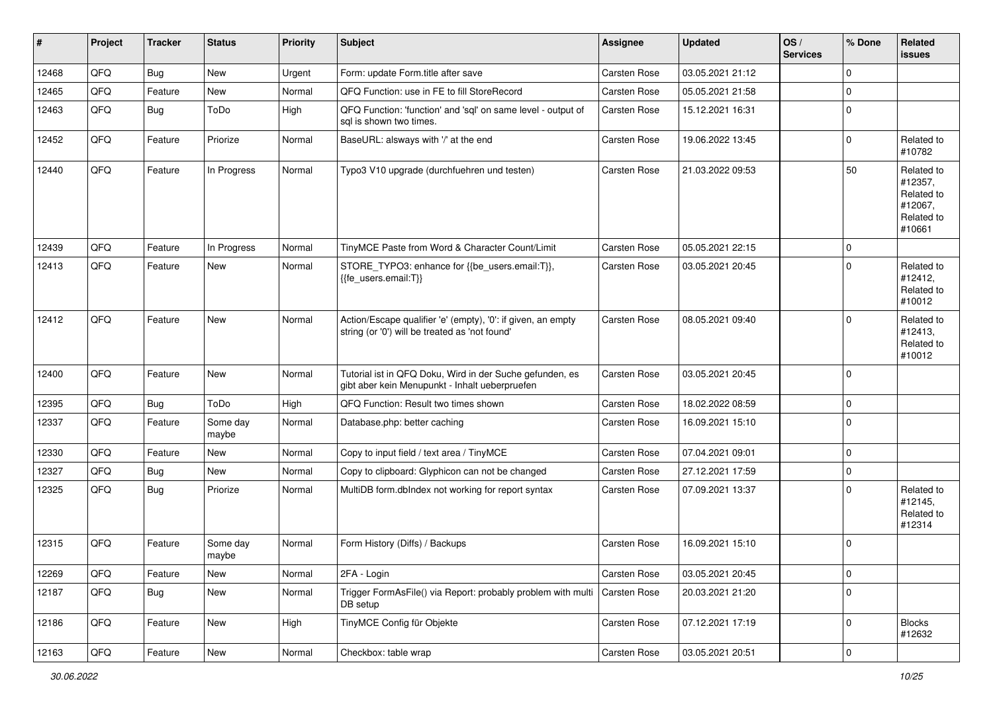| #     | Project | <b>Tracker</b> | <b>Status</b>     | <b>Priority</b> | Subject                                                                                                        | <b>Assignee</b>     | <b>Updated</b>   | OS/<br><b>Services</b> | % Done      | Related<br>issues                                                      |
|-------|---------|----------------|-------------------|-----------------|----------------------------------------------------------------------------------------------------------------|---------------------|------------------|------------------------|-------------|------------------------------------------------------------------------|
| 12468 | QFQ     | Bug            | <b>New</b>        | Urgent          | Form: update Form.title after save                                                                             | <b>Carsten Rose</b> | 03.05.2021 21:12 |                        | $\mathbf 0$ |                                                                        |
| 12465 | QFQ     | Feature        | New               | Normal          | QFQ Function: use in FE to fill StoreRecord                                                                    | Carsten Rose        | 05.05.2021 21:58 |                        | $\mathbf 0$ |                                                                        |
| 12463 | QFQ     | <b>Bug</b>     | ToDo              | High            | QFQ Function: 'function' and 'sql' on same level - output of<br>sal is shown two times.                        | Carsten Rose        | 15.12.2021 16:31 |                        | $\mathbf 0$ |                                                                        |
| 12452 | QFQ     | Feature        | Priorize          | Normal          | BaseURL: alsways with '/' at the end                                                                           | Carsten Rose        | 19.06.2022 13:45 |                        | $\Omega$    | Related to<br>#10782                                                   |
| 12440 | QFQ     | Feature        | In Progress       | Normal          | Typo3 V10 upgrade (durchfuehren und testen)                                                                    | Carsten Rose        | 21.03.2022 09:53 |                        | 50          | Related to<br>#12357,<br>Related to<br>#12067,<br>Related to<br>#10661 |
| 12439 | QFQ     | Feature        | In Progress       | Normal          | TinyMCE Paste from Word & Character Count/Limit                                                                | Carsten Rose        | 05.05.2021 22:15 |                        | 0           |                                                                        |
| 12413 | QFQ     | Feature        | New               | Normal          | STORE_TYPO3: enhance for {{be_users.email:T}},<br>{{fe_users.email:T}}                                         | Carsten Rose        | 03.05.2021 20:45 |                        | $\Omega$    | Related to<br>#12412,<br>Related to<br>#10012                          |
| 12412 | QFQ     | Feature        | New               | Normal          | Action/Escape qualifier 'e' (empty), '0': if given, an empty<br>string (or '0') will be treated as 'not found' | Carsten Rose        | 08.05.2021 09:40 |                        | $\Omega$    | Related to<br>#12413,<br>Related to<br>#10012                          |
| 12400 | QFQ     | Feature        | <b>New</b>        | Normal          | Tutorial ist in QFQ Doku, Wird in der Suche gefunden, es<br>gibt aber kein Menupunkt - Inhalt ueberpruefen     | Carsten Rose        | 03.05.2021 20:45 |                        | $\mathbf 0$ |                                                                        |
| 12395 | QFQ     | <b>Bug</b>     | ToDo              | High            | QFQ Function: Result two times shown                                                                           | Carsten Rose        | 18.02.2022 08:59 |                        | $\mathbf 0$ |                                                                        |
| 12337 | QFQ     | Feature        | Some day<br>maybe | Normal          | Database.php: better caching                                                                                   | Carsten Rose        | 16.09.2021 15:10 |                        | $\Omega$    |                                                                        |
| 12330 | QFQ     | Feature        | New               | Normal          | Copy to input field / text area / TinyMCE                                                                      | Carsten Rose        | 07.04.2021 09:01 |                        | 0           |                                                                        |
| 12327 | QFQ     | Bug            | New               | Normal          | Copy to clipboard: Glyphicon can not be changed                                                                | Carsten Rose        | 27.12.2021 17:59 |                        | $\mathbf 0$ |                                                                        |
| 12325 | QFQ     | <b>Bug</b>     | Priorize          | Normal          | MultiDB form.dblndex not working for report syntax                                                             | Carsten Rose        | 07.09.2021 13:37 |                        | $\Omega$    | Related to<br>#12145,<br>Related to<br>#12314                          |
| 12315 | QFQ     | Feature        | Some day<br>maybe | Normal          | Form History (Diffs) / Backups                                                                                 | <b>Carsten Rose</b> | 16.09.2021 15:10 |                        | $\Omega$    |                                                                        |
| 12269 | QFQ     | Feature        | New               | Normal          | 2FA - Login                                                                                                    | Carsten Rose        | 03.05.2021 20:45 |                        | $\mathbf 0$ |                                                                        |
| 12187 | QFQ     | <b>Bug</b>     | New               | Normal          | Trigger FormAsFile() via Report: probably problem with multi<br>DB setup                                       | Carsten Rose        | 20.03.2021 21:20 |                        | $\Omega$    |                                                                        |
| 12186 | QFQ     | Feature        | New               | High            | TinyMCE Config für Objekte                                                                                     | Carsten Rose        | 07.12.2021 17:19 |                        | $\mathbf 0$ | <b>Blocks</b><br>#12632                                                |
| 12163 | QFQ     | Feature        | New               | Normal          | Checkbox: table wrap                                                                                           | Carsten Rose        | 03.05.2021 20:51 |                        | $\mathbf 0$ |                                                                        |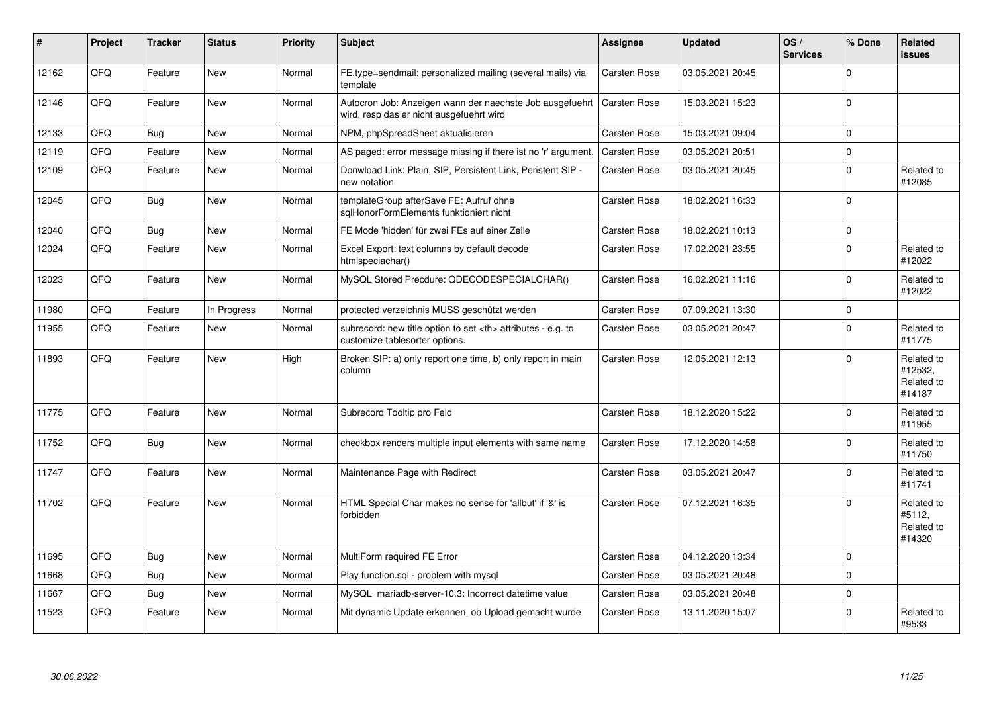| #     | Project | <b>Tracker</b> | <b>Status</b> | <b>Priority</b> | <b>Subject</b>                                                                                       | <b>Assignee</b>                                        | <b>Updated</b>   | OS/<br><b>Services</b> | % Done      | Related<br><b>issues</b>                      |                      |
|-------|---------|----------------|---------------|-----------------|------------------------------------------------------------------------------------------------------|--------------------------------------------------------|------------------|------------------------|-------------|-----------------------------------------------|----------------------|
| 12162 | QFQ     | Feature        | <b>New</b>    | Normal          | FE.type=sendmail: personalized mailing (several mails) via<br>template                               | Carsten Rose                                           | 03.05.2021 20:45 |                        | $\Omega$    |                                               |                      |
| 12146 | QFQ     | Feature        | <b>New</b>    | Normal          | Autocron Job: Anzeigen wann der naechste Job ausgefuehrt<br>wird, resp das er nicht ausgefuehrt wird | <b>Carsten Rose</b>                                    | 15.03.2021 15:23 |                        | $\Omega$    |                                               |                      |
| 12133 | QFQ     | Bug            | <b>New</b>    | Normal          | NPM, phpSpreadSheet aktualisieren                                                                    | Carsten Rose                                           | 15.03.2021 09:04 |                        | $\Omega$    |                                               |                      |
| 12119 | QFQ     | Feature        | <b>New</b>    | Normal          | AS paged: error message missing if there ist no 'r' argument.                                        | Carsten Rose                                           | 03.05.2021 20:51 |                        | $\Omega$    |                                               |                      |
| 12109 | QFQ     | Feature        | <b>New</b>    | Normal          | Donwload Link: Plain, SIP, Persistent Link, Peristent SIP -<br>new notation                          | <b>Carsten Rose</b>                                    | 03.05.2021 20:45 |                        | $\Omega$    | Related to<br>#12085                          |                      |
| 12045 | QFQ     | <b>Bug</b>     | <b>New</b>    | Normal          | templateGroup afterSave FE: Aufruf ohne<br>sglHonorFormElements funktioniert nicht                   | <b>Carsten Rose</b>                                    | 18.02.2021 16:33 |                        | $\Omega$    |                                               |                      |
| 12040 | QFQ     | <b>Bug</b>     | New           | Normal          | FE Mode 'hidden' für zwei FEs auf einer Zeile                                                        | <b>Carsten Rose</b>                                    | 18.02.2021 10:13 |                        | $\Omega$    |                                               |                      |
| 12024 | QFQ     | Feature        | New           | Normal          | Excel Export: text columns by default decode<br>htmlspeciachar()                                     | Carsten Rose                                           | 17.02.2021 23:55 |                        | $\mathbf 0$ | Related to<br>#12022                          |                      |
| 12023 | QFQ     | Feature        | <b>New</b>    | Normal          | MySQL Stored Precdure: QDECODESPECIALCHAR()                                                          | <b>Carsten Rose</b>                                    | 16.02.2021 11:16 |                        | $\Omega$    | Related to<br>#12022                          |                      |
| 11980 | QFQ     | Feature        | In Progress   | Normal          | protected verzeichnis MUSS geschützt werden                                                          | <b>Carsten Rose</b>                                    | 07.09.2021 13:30 |                        | $\mathbf 0$ |                                               |                      |
| 11955 | QFQ     | Feature        | New           | Normal          | subrecord: new title option to set <th> attributes - e.g. to<br/>customize tablesorter options.</th> | attributes - e.g. to<br>customize tablesorter options. | Carsten Rose     | 03.05.2021 20:47       |             | $\Omega$                                      | Related to<br>#11775 |
| 11893 | QFQ     | Feature        | <b>New</b>    | High            | Broken SIP: a) only report one time, b) only report in main<br>column                                | <b>Carsten Rose</b>                                    | 12.05.2021 12:13 |                        | $\Omega$    | Related to<br>#12532,<br>Related to<br>#14187 |                      |
| 11775 | QFQ     | Feature        | <b>New</b>    | Normal          | Subrecord Tooltip pro Feld                                                                           | <b>Carsten Rose</b>                                    | 18.12.2020 15:22 |                        | $\Omega$    | Related to<br>#11955                          |                      |
| 11752 | QFQ     | Bug            | <b>New</b>    | Normal          | checkbox renders multiple input elements with same name                                              | <b>Carsten Rose</b>                                    | 17.12.2020 14:58 |                        | $\Omega$    | Related to<br>#11750                          |                      |
| 11747 | QFQ     | Feature        | <b>New</b>    | Normal          | Maintenance Page with Redirect                                                                       | <b>Carsten Rose</b>                                    | 03.05.2021 20:47 |                        | $\Omega$    | Related to<br>#11741                          |                      |
| 11702 | QFQ     | Feature        | <b>New</b>    | Normal          | HTML Special Char makes no sense for 'allbut' if '&' is<br>forbidden                                 | Carsten Rose                                           | 07.12.2021 16:35 |                        | $\Omega$    | Related to<br>#5112,<br>Related to<br>#14320  |                      |
| 11695 | QFQ     | <b>Bug</b>     | <b>New</b>    | Normal          | MultiForm required FE Error                                                                          | <b>Carsten Rose</b>                                    | 04.12.2020 13:34 |                        | $\Omega$    |                                               |                      |
| 11668 | QFQ     | <b>Bug</b>     | <b>New</b>    | Normal          | Play function.sgl - problem with mysgl                                                               | <b>Carsten Rose</b>                                    | 03.05.2021 20:48 |                        | $\Omega$    |                                               |                      |
| 11667 | QFQ     | <b>Bug</b>     | <b>New</b>    | Normal          | MySQL mariadb-server-10.3: Incorrect datetime value                                                  | Carsten Rose                                           | 03.05.2021 20:48 |                        | $\Omega$    |                                               |                      |
| 11523 | QFQ     | Feature        | New           | Normal          | Mit dynamic Update erkennen, ob Upload gemacht wurde                                                 | Carsten Rose                                           | 13.11.2020 15:07 |                        | $\mathbf 0$ | Related to<br>#9533                           |                      |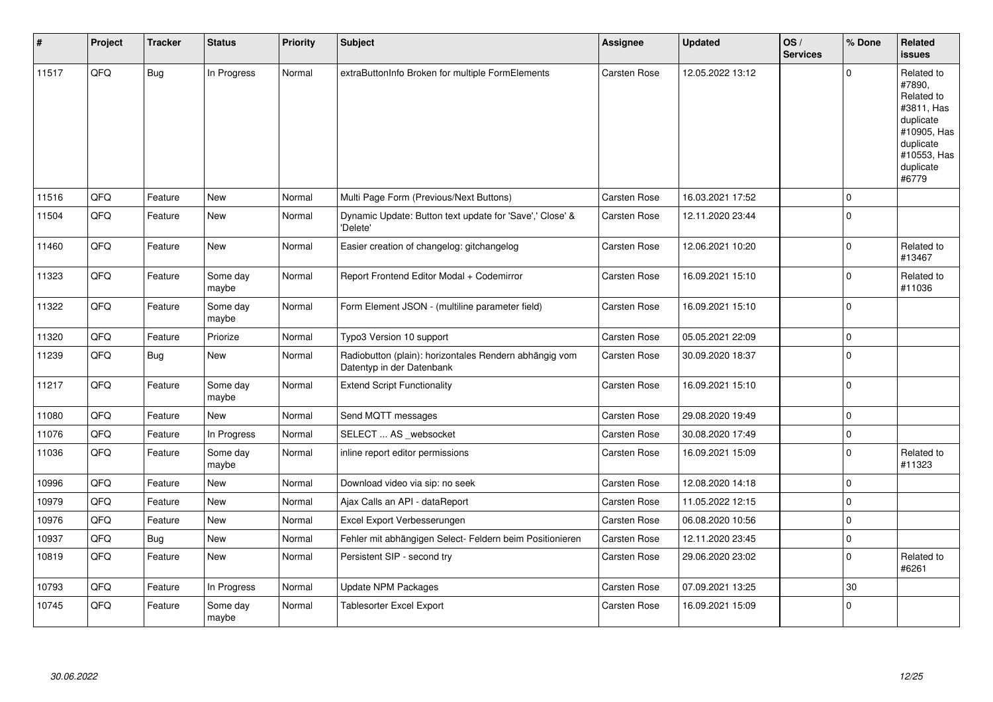| #     | Project | <b>Tracker</b> | <b>Status</b>     | <b>Priority</b> | <b>Subject</b>                                                                      | Assignee            | <b>Updated</b>   | OS/<br><b>Services</b> | % Done      | Related<br>issues                                                                                                              |
|-------|---------|----------------|-------------------|-----------------|-------------------------------------------------------------------------------------|---------------------|------------------|------------------------|-------------|--------------------------------------------------------------------------------------------------------------------------------|
| 11517 | QFQ     | <b>Bug</b>     | In Progress       | Normal          | extraButtonInfo Broken for multiple FormElements                                    | Carsten Rose        | 12.05.2022 13:12 |                        | $\Omega$    | Related to<br>#7890,<br>Related to<br>#3811, Has<br>duplicate<br>#10905, Has<br>duplicate<br>#10553, Has<br>duplicate<br>#6779 |
| 11516 | QFQ     | Feature        | <b>New</b>        | Normal          | Multi Page Form (Previous/Next Buttons)                                             | <b>Carsten Rose</b> | 16.03.2021 17:52 |                        | $\Omega$    |                                                                                                                                |
| 11504 | QFQ     | Feature        | <b>New</b>        | Normal          | Dynamic Update: Button text update for 'Save',' Close' &<br>'Delete'                | <b>Carsten Rose</b> | 12.11.2020 23:44 |                        | $\Omega$    |                                                                                                                                |
| 11460 | QFQ     | Feature        | <b>New</b>        | Normal          | Easier creation of changelog: gitchangelog                                          | <b>Carsten Rose</b> | 12.06.2021 10:20 |                        | $\mathbf 0$ | Related to<br>#13467                                                                                                           |
| 11323 | QFQ     | Feature        | Some day<br>maybe | Normal          | Report Frontend Editor Modal + Codemirror                                           | <b>Carsten Rose</b> | 16.09.2021 15:10 |                        | $\Omega$    | Related to<br>#11036                                                                                                           |
| 11322 | QFQ     | Feature        | Some day<br>maybe | Normal          | Form Element JSON - (multiline parameter field)                                     | Carsten Rose        | 16.09.2021 15:10 |                        | $\mathbf 0$ |                                                                                                                                |
| 11320 | QFQ     | Feature        | Priorize          | Normal          | Typo3 Version 10 support                                                            | <b>Carsten Rose</b> | 05.05.2021 22:09 |                        | $\mathbf 0$ |                                                                                                                                |
| 11239 | QFQ     | Bug            | <b>New</b>        | Normal          | Radiobutton (plain): horizontales Rendern abhängig vom<br>Datentyp in der Datenbank | Carsten Rose        | 30.09.2020 18:37 |                        | $\Omega$    |                                                                                                                                |
| 11217 | QFQ     | Feature        | Some day<br>maybe | Normal          | <b>Extend Script Functionality</b>                                                  | <b>Carsten Rose</b> | 16.09.2021 15:10 |                        | $\Omega$    |                                                                                                                                |
| 11080 | QFQ     | Feature        | <b>New</b>        | Normal          | Send MQTT messages                                                                  | <b>Carsten Rose</b> | 29.08.2020 19:49 |                        | $\mathbf 0$ |                                                                                                                                |
| 11076 | QFQ     | Feature        | In Progress       | Normal          | SELECT  AS _websocket                                                               | <b>Carsten Rose</b> | 30.08.2020 17:49 |                        | $\Omega$    |                                                                                                                                |
| 11036 | QFQ     | Feature        | Some day<br>maybe | Normal          | inline report editor permissions                                                    | <b>Carsten Rose</b> | 16.09.2021 15:09 |                        | $\Omega$    | Related to<br>#11323                                                                                                           |
| 10996 | QFQ     | Feature        | <b>New</b>        | Normal          | Download video via sip: no seek                                                     | Carsten Rose        | 12.08.2020 14:18 |                        | $\Omega$    |                                                                                                                                |
| 10979 | QFQ     | Feature        | New               | Normal          | Ajax Calls an API - dataReport                                                      | Carsten Rose        | 11.05.2022 12:15 |                        | $\Omega$    |                                                                                                                                |
| 10976 | QFQ     | Feature        | <b>New</b>        | Normal          | Excel Export Verbesserungen                                                         | Carsten Rose        | 06.08.2020 10:56 |                        | $\mathbf 0$ |                                                                                                                                |
| 10937 | QFQ     | <b>Bug</b>     | <b>New</b>        | Normal          | Fehler mit abhängigen Select- Feldern beim Positionieren                            | <b>Carsten Rose</b> | 12.11.2020 23:45 |                        | $\Omega$    |                                                                                                                                |
| 10819 | QFQ     | Feature        | <b>New</b>        | Normal          | Persistent SIP - second try                                                         | Carsten Rose        | 29.06.2020 23:02 |                        | $\Omega$    | Related to<br>#6261                                                                                                            |
| 10793 | QFQ     | Feature        | In Progress       | Normal          | <b>Update NPM Packages</b>                                                          | Carsten Rose        | 07.09.2021 13:25 |                        | 30          |                                                                                                                                |
| 10745 | QFQ     | Feature        | Some day<br>maybe | Normal          | Tablesorter Excel Export                                                            | <b>Carsten Rose</b> | 16.09.2021 15:09 |                        | $\Omega$    |                                                                                                                                |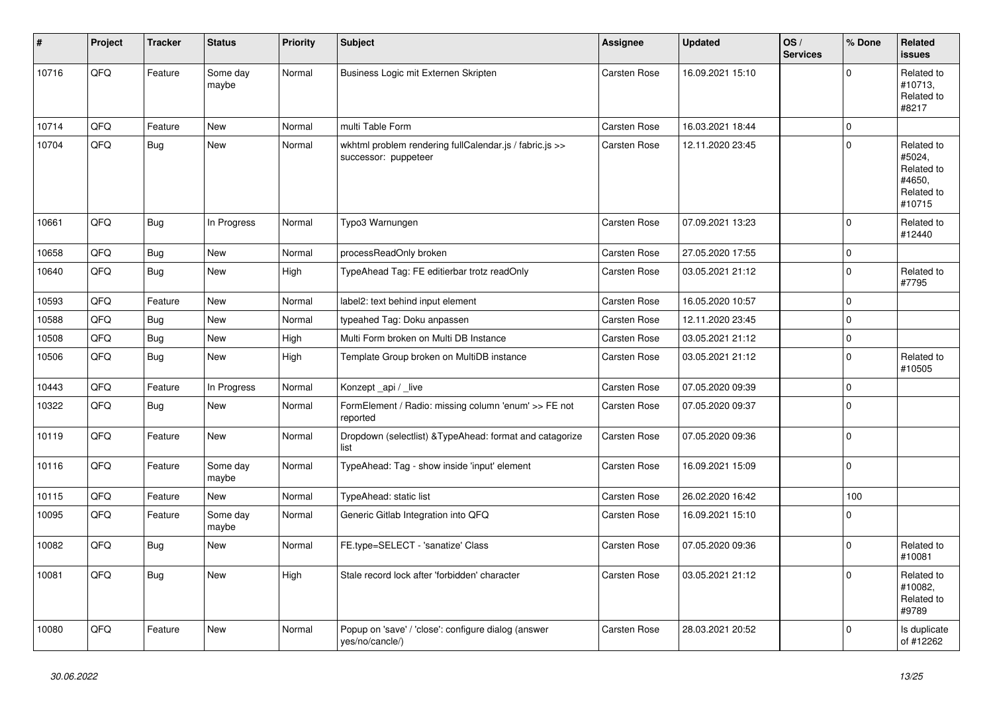| #     | Project | <b>Tracker</b> | <b>Status</b>     | <b>Priority</b> | <b>Subject</b>                                                                  | Assignee            | <b>Updated</b>   | OS/<br><b>Services</b> | % Done      | Related<br><b>issues</b>                                             |
|-------|---------|----------------|-------------------|-----------------|---------------------------------------------------------------------------------|---------------------|------------------|------------------------|-------------|----------------------------------------------------------------------|
| 10716 | QFQ     | Feature        | Some day<br>maybe | Normal          | Business Logic mit Externen Skripten                                            | <b>Carsten Rose</b> | 16.09.2021 15:10 |                        | $\Omega$    | Related to<br>#10713,<br>Related to<br>#8217                         |
| 10714 | QFQ     | Feature        | <b>New</b>        | Normal          | multi Table Form                                                                | Carsten Rose        | 16.03.2021 18:44 |                        | $\mathbf 0$ |                                                                      |
| 10704 | QFQ     | <b>Bug</b>     | New               | Normal          | wkhtml problem rendering fullCalendar.js / fabric.js >><br>successor: puppeteer | <b>Carsten Rose</b> | 12.11.2020 23:45 |                        | $\Omega$    | Related to<br>#5024,<br>Related to<br>#4650,<br>Related to<br>#10715 |
| 10661 | QFQ     | Bug            | In Progress       | Normal          | Typo3 Warnungen                                                                 | <b>Carsten Rose</b> | 07.09.2021 13:23 |                        | $\mathbf 0$ | Related to<br>#12440                                                 |
| 10658 | QFQ     | <b>Bug</b>     | <b>New</b>        | Normal          | processReadOnly broken                                                          | <b>Carsten Rose</b> | 27.05.2020 17:55 |                        | $\pmb{0}$   |                                                                      |
| 10640 | QFQ     | <b>Bug</b>     | New               | High            | TypeAhead Tag: FE editierbar trotz readOnly                                     | Carsten Rose        | 03.05.2021 21:12 |                        | $\mathbf 0$ | Related to<br>#7795                                                  |
| 10593 | QFQ     | Feature        | <b>New</b>        | Normal          | label2: text behind input element                                               | Carsten Rose        | 16.05.2020 10:57 |                        | $\mathbf 0$ |                                                                      |
| 10588 | QFQ     | <b>Bug</b>     | <b>New</b>        | Normal          | typeahed Tag: Doku anpassen                                                     | Carsten Rose        | 12.11.2020 23:45 |                        | $\mathbf 0$ |                                                                      |
| 10508 | QFQ     | <b>Bug</b>     | <b>New</b>        | High            | Multi Form broken on Multi DB Instance                                          | Carsten Rose        | 03.05.2021 21:12 |                        | $\mathbf 0$ |                                                                      |
| 10506 | QFQ     | <b>Bug</b>     | New               | High            | Template Group broken on MultiDB instance                                       | Carsten Rose        | 03.05.2021 21:12 |                        | $\mathbf 0$ | Related to<br>#10505                                                 |
| 10443 | QFQ     | Feature        | In Progress       | Normal          | Konzept_api / _live                                                             | Carsten Rose        | 07.05.2020 09:39 |                        | $\mathbf 0$ |                                                                      |
| 10322 | QFQ     | <b>Bug</b>     | New               | Normal          | FormElement / Radio: missing column 'enum' >> FE not<br>reported                | Carsten Rose        | 07.05.2020 09:37 |                        | $\Omega$    |                                                                      |
| 10119 | QFQ     | Feature        | New               | Normal          | Dropdown (selectlist) & TypeAhead: format and catagorize<br>list                | <b>Carsten Rose</b> | 07.05.2020 09:36 |                        | $\mathbf 0$ |                                                                      |
| 10116 | QFQ     | Feature        | Some day<br>maybe | Normal          | TypeAhead: Tag - show inside 'input' element                                    | Carsten Rose        | 16.09.2021 15:09 |                        | $\mathbf 0$ |                                                                      |
| 10115 | QFQ     | Feature        | New               | Normal          | TypeAhead: static list                                                          | <b>Carsten Rose</b> | 26.02.2020 16:42 |                        | 100         |                                                                      |
| 10095 | QFQ     | Feature        | Some day<br>maybe | Normal          | Generic Gitlab Integration into QFQ                                             | Carsten Rose        | 16.09.2021 15:10 |                        | $\mathbf 0$ |                                                                      |
| 10082 | QFQ     | <b>Bug</b>     | <b>New</b>        | Normal          | FE.type=SELECT - 'sanatize' Class                                               | <b>Carsten Rose</b> | 07.05.2020 09:36 |                        | $\mathbf 0$ | Related to<br>#10081                                                 |
| 10081 | QFQ     | <b>Bug</b>     | New               | High            | Stale record lock after 'forbidden' character                                   | <b>Carsten Rose</b> | 03.05.2021 21:12 |                        | $\Omega$    | Related to<br>#10082,<br>Related to<br>#9789                         |
| 10080 | QFQ     | Feature        | <b>New</b>        | Normal          | Popup on 'save' / 'close': configure dialog (answer<br>yes/no/cancle/)          | <b>Carsten Rose</b> | 28.03.2021 20:52 |                        | $\mathbf 0$ | Is duplicate<br>of #12262                                            |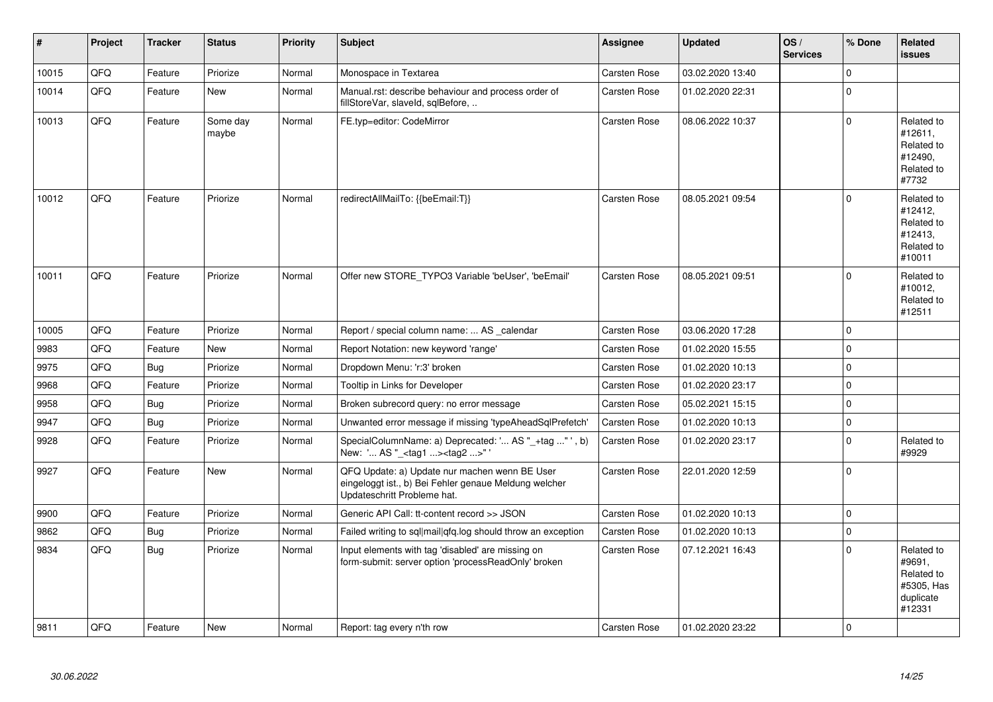| #     | Project | <b>Tracker</b> | <b>Status</b>     | <b>Priority</b> | <b>Subject</b>                                                                                                                        | <b>Assignee</b>     | <b>Updated</b>   | OS/<br><b>Services</b> | % Done      | Related<br><b>issues</b>                                                |
|-------|---------|----------------|-------------------|-----------------|---------------------------------------------------------------------------------------------------------------------------------------|---------------------|------------------|------------------------|-------------|-------------------------------------------------------------------------|
| 10015 | QFQ     | Feature        | Priorize          | Normal          | Monospace in Textarea                                                                                                                 | Carsten Rose        | 03.02.2020 13:40 |                        | $\mathbf 0$ |                                                                         |
| 10014 | QFQ     | Feature        | <b>New</b>        | Normal          | Manual.rst: describe behaviour and process order of<br>fillStoreVar, slaveId, sqlBefore,                                              | Carsten Rose        | 01.02.2020 22:31 |                        | $\mathbf 0$ |                                                                         |
| 10013 | QFQ     | Feature        | Some day<br>maybe | Normal          | FE.typ=editor: CodeMirror                                                                                                             | Carsten Rose        | 08.06.2022 10:37 |                        | $\Omega$    | Related to<br>#12611,<br>Related to<br>#12490,<br>Related to<br>#7732   |
| 10012 | QFQ     | Feature        | Priorize          | Normal          | redirectAllMailTo: {{beEmail:T}}                                                                                                      | <b>Carsten Rose</b> | 08.05.2021 09:54 |                        | $\mathbf 0$ | Related to<br>#12412,<br>Related to<br>#12413,<br>Related to<br>#10011  |
| 10011 | QFQ     | Feature        | Priorize          | Normal          | Offer new STORE_TYPO3 Variable 'beUser', 'beEmail'                                                                                    | <b>Carsten Rose</b> | 08.05.2021 09:51 |                        | $\Omega$    | Related to<br>#10012,<br>Related to<br>#12511                           |
| 10005 | QFQ     | Feature        | Priorize          | Normal          | Report / special column name:  AS calendar                                                                                            | Carsten Rose        | 03.06.2020 17:28 |                        | $\mathbf 0$ |                                                                         |
| 9983  | QFQ     | Feature        | <b>New</b>        | Normal          | Report Notation: new keyword 'range'                                                                                                  | Carsten Rose        | 01.02.2020 15:55 |                        | $\Omega$    |                                                                         |
| 9975  | QFQ     | <b>Bug</b>     | Priorize          | Normal          | Dropdown Menu: 'r:3' broken                                                                                                           | Carsten Rose        | 01.02.2020 10:13 |                        | $\mathbf 0$ |                                                                         |
| 9968  | QFQ     | Feature        | Priorize          | Normal          | Tooltip in Links for Developer                                                                                                        | Carsten Rose        | 01.02.2020 23:17 |                        | $\Omega$    |                                                                         |
| 9958  | QFQ     | <b>Bug</b>     | Priorize          | Normal          | Broken subrecord query: no error message                                                                                              | Carsten Rose        | 05.02.2021 15:15 |                        | $\pmb{0}$   |                                                                         |
| 9947  | QFQ     | <b>Bug</b>     | Priorize          | Normal          | Unwanted error message if missing 'typeAheadSqlPrefetch'                                                                              | Carsten Rose        | 01.02.2020 10:13 |                        | 0           |                                                                         |
| 9928  | QFQ     | Feature        | Priorize          | Normal          | SpecialColumnName: a) Deprecated: ' AS "_+tag " ', b)<br>New: ' AS "_ <tag1><tag2>"</tag2></tag1>                                     | <b>Carsten Rose</b> | 01.02.2020 23:17 |                        | $\mathbf 0$ | Related to<br>#9929                                                     |
| 9927  | QFQ     | Feature        | <b>New</b>        | Normal          | QFQ Update: a) Update nur machen wenn BE User<br>eingeloggt ist., b) Bei Fehler genaue Meldung welcher<br>Updateschritt Probleme hat. | Carsten Rose        | 22.01.2020 12:59 |                        | $\mathbf 0$ |                                                                         |
| 9900  | QFQ     | Feature        | Priorize          | Normal          | Generic API Call: tt-content record >> JSON                                                                                           | <b>Carsten Rose</b> | 01.02.2020 10:13 |                        | $\mathbf 0$ |                                                                         |
| 9862  | QFQ     | <b>Bug</b>     | Priorize          | Normal          | Failed writing to sql mail qfq.log should throw an exception                                                                          | <b>Carsten Rose</b> | 01.02.2020 10:13 |                        | $\mathbf 0$ |                                                                         |
| 9834  | QFQ     | <b>Bug</b>     | Priorize          | Normal          | Input elements with tag 'disabled' are missing on<br>form-submit: server option 'processReadOnly' broken                              | Carsten Rose        | 07.12.2021 16:43 |                        | $\Omega$    | Related to<br>#9691,<br>Related to<br>#5305, Has<br>duplicate<br>#12331 |
| 9811  | QFQ     | Feature        | New               | Normal          | Report: tag every n'th row                                                                                                            | <b>Carsten Rose</b> | 01.02.2020 23:22 |                        | $\Omega$    |                                                                         |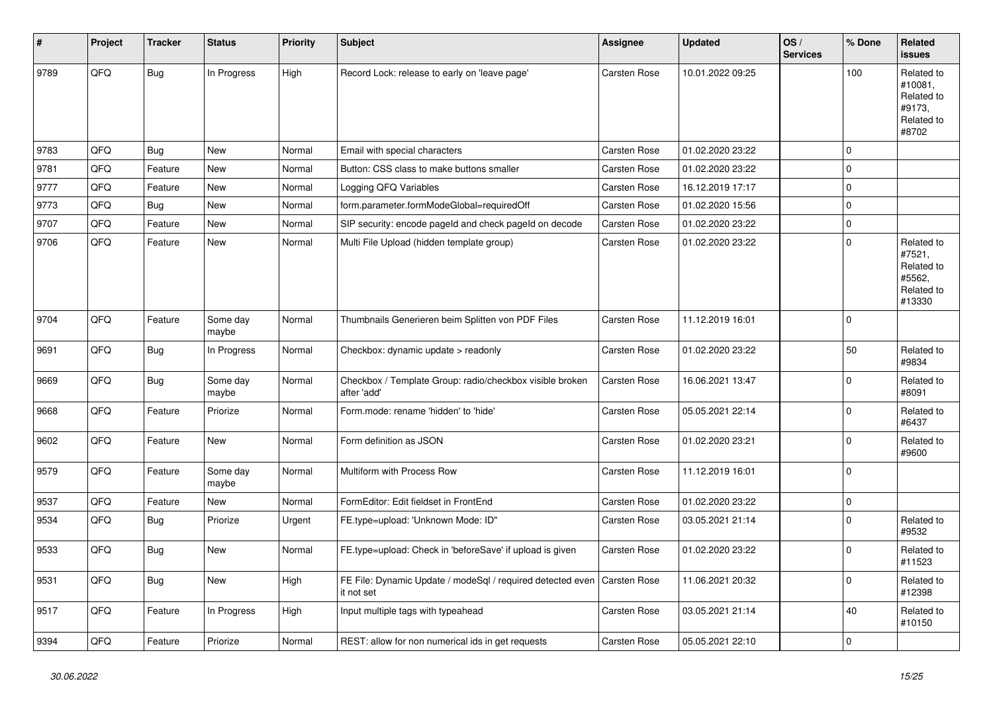| #    | Project | <b>Tracker</b> | <b>Status</b>     | <b>Priority</b> | <b>Subject</b>                                                           | <b>Assignee</b>     | <b>Updated</b>   | OS/<br><b>Services</b> | % Done      | Related<br>issues                                                    |
|------|---------|----------------|-------------------|-----------------|--------------------------------------------------------------------------|---------------------|------------------|------------------------|-------------|----------------------------------------------------------------------|
| 9789 | QFQ     | <b>Bug</b>     | In Progress       | High            | Record Lock: release to early on 'leave page'                            | <b>Carsten Rose</b> | 10.01.2022 09:25 |                        | 100         | Related to<br>#10081,<br>Related to<br>#9173,<br>Related to<br>#8702 |
| 9783 | QFQ     | <b>Bug</b>     | New               | Normal          | Email with special characters                                            | <b>Carsten Rose</b> | 01.02.2020 23:22 |                        | $\mathbf 0$ |                                                                      |
| 9781 | QFQ     | Feature        | New               | Normal          | Button: CSS class to make buttons smaller                                | Carsten Rose        | 01.02.2020 23:22 |                        | $\mathbf 0$ |                                                                      |
| 9777 | QFQ     | Feature        | <b>New</b>        | Normal          | Logging QFQ Variables                                                    | Carsten Rose        | 16.12.2019 17:17 |                        | $\mathbf 0$ |                                                                      |
| 9773 | QFQ     | <b>Bug</b>     | <b>New</b>        | Normal          | form.parameter.formModeGlobal=requiredOff                                | Carsten Rose        | 01.02.2020 15:56 |                        | $\mathbf 0$ |                                                                      |
| 9707 | QFQ     | Feature        | <b>New</b>        | Normal          | SIP security: encode pageId and check pageId on decode                   | Carsten Rose        | 01.02.2020 23:22 |                        | $\mathbf 0$ |                                                                      |
| 9706 | QFQ     | Feature        | New               | Normal          | Multi File Upload (hidden template group)                                | <b>Carsten Rose</b> | 01.02.2020 23:22 |                        | $\mathbf 0$ | Related to<br>#7521,<br>Related to<br>#5562,<br>Related to<br>#13330 |
| 9704 | QFQ     | Feature        | Some day<br>maybe | Normal          | Thumbnails Generieren beim Splitten von PDF Files                        | <b>Carsten Rose</b> | 11.12.2019 16:01 |                        | $\mathbf 0$ |                                                                      |
| 9691 | QFQ     | <b>Bug</b>     | In Progress       | Normal          | Checkbox: dynamic update > readonly                                      | Carsten Rose        | 01.02.2020 23:22 |                        | 50          | Related to<br>#9834                                                  |
| 9669 | QFQ     | <b>Bug</b>     | Some day<br>maybe | Normal          | Checkbox / Template Group: radio/checkbox visible broken<br>after 'add'  | Carsten Rose        | 16.06.2021 13:47 |                        | $\mathbf 0$ | Related to<br>#8091                                                  |
| 9668 | QFQ     | Feature        | Priorize          | Normal          | Form.mode: rename 'hidden' to 'hide'                                     | <b>Carsten Rose</b> | 05.05.2021 22:14 |                        | $\mathbf 0$ | Related to<br>#6437                                                  |
| 9602 | QFQ     | Feature        | New               | Normal          | Form definition as JSON                                                  | <b>Carsten Rose</b> | 01.02.2020 23:21 |                        | $\mathbf 0$ | Related to<br>#9600                                                  |
| 9579 | QFQ     | Feature        | Some day<br>maybe | Normal          | Multiform with Process Row                                               | <b>Carsten Rose</b> | 11.12.2019 16:01 |                        | $\mathbf 0$ |                                                                      |
| 9537 | QFQ     | Feature        | New               | Normal          | FormEditor: Edit fieldset in FrontEnd                                    | Carsten Rose        | 01.02.2020 23:22 |                        | $\mathbf 0$ |                                                                      |
| 9534 | QFQ     | <b>Bug</b>     | Priorize          | Urgent          | FE.type=upload: 'Unknown Mode: ID"                                       | Carsten Rose        | 03.05.2021 21:14 |                        | $\mathbf 0$ | Related to<br>#9532                                                  |
| 9533 | QFQ     | <b>Bug</b>     | <b>New</b>        | Normal          | FE.type=upload: Check in 'beforeSave' if upload is given                 | Carsten Rose        | 01.02.2020 23:22 |                        | $\mathbf 0$ | Related to<br>#11523                                                 |
| 9531 | QFQ     | <b>Bug</b>     | New               | High            | FE File: Dynamic Update / modeSql / required detected even<br>it not set | Carsten Rose        | 11.06.2021 20:32 |                        | $\mathbf 0$ | Related to<br>#12398                                                 |
| 9517 | QFQ     | Feature        | In Progress       | High            | Input multiple tags with typeahead                                       | Carsten Rose        | 03.05.2021 21:14 |                        | 40          | Related to<br>#10150                                                 |
| 9394 | QFQ     | Feature        | Priorize          | Normal          | REST: allow for non numerical ids in get requests                        | Carsten Rose        | 05.05.2021 22:10 |                        | $\mathbf 0$ |                                                                      |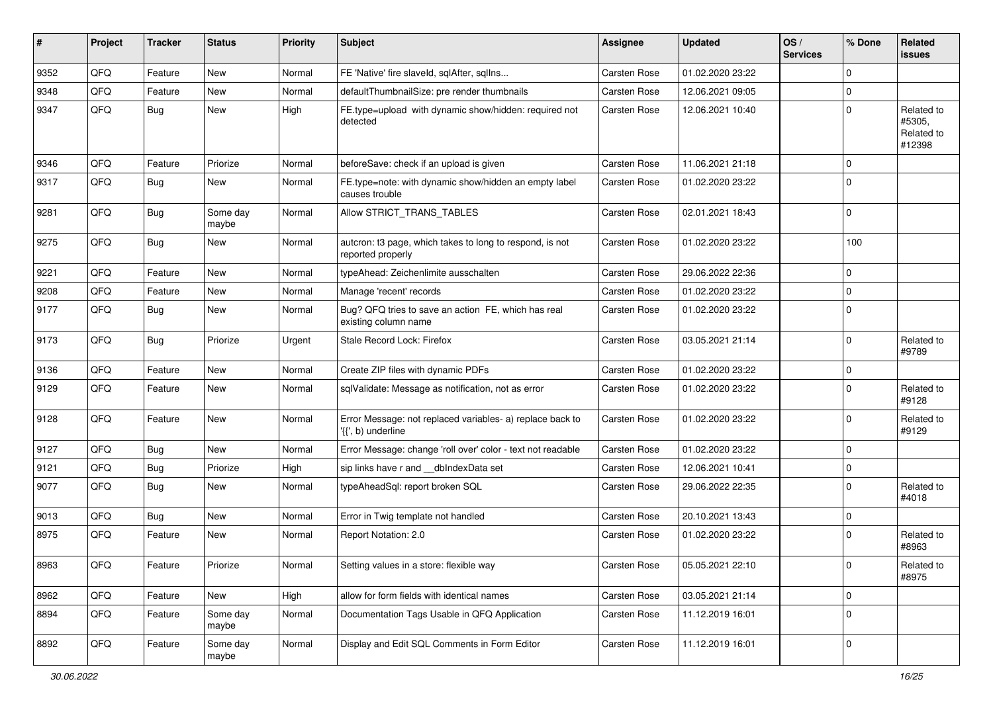| ∦    | Project | <b>Tracker</b> | <b>Status</b>     | <b>Priority</b> | Subject                                                                         | <b>Assignee</b> | <b>Updated</b>   | OS/<br><b>Services</b> | % Done      | Related<br>issues                            |
|------|---------|----------------|-------------------|-----------------|---------------------------------------------------------------------------------|-----------------|------------------|------------------------|-------------|----------------------------------------------|
| 9352 | QFQ     | Feature        | <b>New</b>        | Normal          | FE 'Native' fire slaveld, sqlAfter, sqlIns                                      | Carsten Rose    | 01.02.2020 23:22 |                        | $\Omega$    |                                              |
| 9348 | QFQ     | Feature        | <b>New</b>        | Normal          | defaultThumbnailSize: pre render thumbnails                                     | Carsten Rose    | 12.06.2021 09:05 |                        | $\mathbf 0$ |                                              |
| 9347 | QFQ     | <b>Bug</b>     | New               | High            | FE.type=upload with dynamic show/hidden: required not<br>detected               | Carsten Rose    | 12.06.2021 10:40 |                        | $\mathbf 0$ | Related to<br>#5305,<br>Related to<br>#12398 |
| 9346 | QFQ     | Feature        | Priorize          | Normal          | beforeSave: check if an upload is given                                         | Carsten Rose    | 11.06.2021 21:18 |                        | $\mathbf 0$ |                                              |
| 9317 | QFQ     | Bug            | <b>New</b>        | Normal          | FE.type=note: with dynamic show/hidden an empty label<br>causes trouble         | Carsten Rose    | 01.02.2020 23:22 |                        | $\Omega$    |                                              |
| 9281 | QFQ     | Bug            | Some day<br>maybe | Normal          | Allow STRICT_TRANS_TABLES                                                       | Carsten Rose    | 02.01.2021 18:43 |                        | $\mathbf 0$ |                                              |
| 9275 | QFQ     | <b>Bug</b>     | <b>New</b>        | Normal          | autcron: t3 page, which takes to long to respond, is not<br>reported properly   | Carsten Rose    | 01.02.2020 23:22 |                        | 100         |                                              |
| 9221 | QFQ     | Feature        | <b>New</b>        | Normal          | typeAhead: Zeichenlimite ausschalten                                            | Carsten Rose    | 29.06.2022 22:36 |                        | $\mathbf 0$ |                                              |
| 9208 | QFQ     | Feature        | <b>New</b>        | Normal          | Manage 'recent' records                                                         | Carsten Rose    | 01.02.2020 23:22 |                        | $\mathbf 0$ |                                              |
| 9177 | QFQ     | <b>Bug</b>     | <b>New</b>        | Normal          | Bug? QFQ tries to save an action FE, which has real<br>existing column name     | Carsten Rose    | 01.02.2020 23:22 |                        | $\mathbf 0$ |                                              |
| 9173 | QFQ     | Bug            | Priorize          | Urgent          | Stale Record Lock: Firefox                                                      | Carsten Rose    | 03.05.2021 21:14 |                        | $\Omega$    | Related to<br>#9789                          |
| 9136 | QFQ     | Feature        | <b>New</b>        | Normal          | Create ZIP files with dynamic PDFs                                              | Carsten Rose    | 01.02.2020 23:22 |                        | $\mathbf 0$ |                                              |
| 9129 | QFQ     | Feature        | New               | Normal          | sqlValidate: Message as notification, not as error                              | Carsten Rose    | 01.02.2020 23:22 |                        | $\Omega$    | Related to<br>#9128                          |
| 9128 | QFQ     | Feature        | <b>New</b>        | Normal          | Error Message: not replaced variables- a) replace back to<br>'{{', b) underline | Carsten Rose    | 01.02.2020 23:22 |                        | $\mathbf 0$ | Related to<br>#9129                          |
| 9127 | QFQ     | <b>Bug</b>     | <b>New</b>        | Normal          | Error Message: change 'roll over' color - text not readable                     | Carsten Rose    | 01.02.2020 23:22 |                        | $\mathbf 0$ |                                              |
| 9121 | QFQ     | <b>Bug</b>     | Priorize          | High            | sip links have r and __dbIndexData set                                          | Carsten Rose    | 12.06.2021 10:41 |                        | $\mathbf 0$ |                                              |
| 9077 | QFQ     | Bug            | New               | Normal          | typeAheadSql: report broken SQL                                                 | Carsten Rose    | 29.06.2022 22:35 |                        | $\Omega$    | Related to<br>#4018                          |
| 9013 | QFQ     | Bug            | <b>New</b>        | Normal          | Error in Twig template not handled                                              | Carsten Rose    | 20.10.2021 13:43 |                        | 0           |                                              |
| 8975 | QFQ     | Feature        | New               | Normal          | Report Notation: 2.0                                                            | Carsten Rose    | 01.02.2020 23:22 |                        | $\Omega$    | Related to<br>#8963                          |
| 8963 | QFQ     | Feature        | Priorize          | Normal          | Setting values in a store: flexible way                                         | Carsten Rose    | 05.05.2021 22:10 |                        | 0           | Related to<br>#8975                          |
| 8962 | QFQ     | Feature        | New               | High            | allow for form fields with identical names                                      | Carsten Rose    | 03.05.2021 21:14 |                        | 0           |                                              |
| 8894 | QFQ     | Feature        | Some day<br>maybe | Normal          | Documentation Tags Usable in QFQ Application                                    | Carsten Rose    | 11.12.2019 16:01 |                        | $\mathbf 0$ |                                              |
| 8892 | QFG     | Feature        | Some day<br>maybe | Normal          | Display and Edit SQL Comments in Form Editor                                    | Carsten Rose    | 11.12.2019 16:01 |                        | 0           |                                              |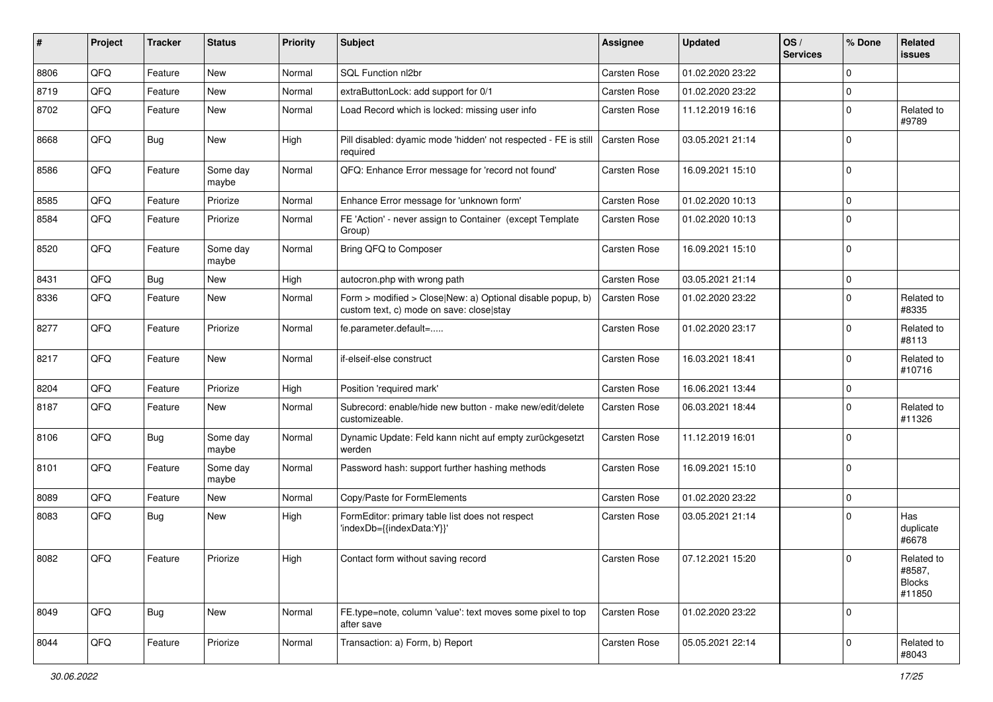| ∦    | Project | <b>Tracker</b> | <b>Status</b>     | <b>Priority</b> | Subject                                                                                                | Assignee            | <b>Updated</b>   | OS/<br><b>Services</b> | % Done      | Related<br><b>issues</b>                        |
|------|---------|----------------|-------------------|-----------------|--------------------------------------------------------------------------------------------------------|---------------------|------------------|------------------------|-------------|-------------------------------------------------|
| 8806 | QFQ     | Feature        | <b>New</b>        | Normal          | SQL Function nl2br                                                                                     | Carsten Rose        | 01.02.2020 23:22 |                        | $\Omega$    |                                                 |
| 8719 | QFQ     | Feature        | <b>New</b>        | Normal          | extraButtonLock: add support for 0/1                                                                   | Carsten Rose        | 01.02.2020 23:22 |                        | 0           |                                                 |
| 8702 | QFQ     | Feature        | New               | Normal          | Load Record which is locked: missing user info                                                         | Carsten Rose        | 11.12.2019 16:16 |                        | $\Omega$    | Related to<br>#9789                             |
| 8668 | QFQ     | Bug            | New               | High            | Pill disabled: dyamic mode 'hidden' not respected - FE is still<br>required                            | <b>Carsten Rose</b> | 03.05.2021 21:14 |                        | $\Omega$    |                                                 |
| 8586 | QFQ     | Feature        | Some day<br>maybe | Normal          | QFQ: Enhance Error message for 'record not found'                                                      | Carsten Rose        | 16.09.2021 15:10 |                        | $\mathbf 0$ |                                                 |
| 8585 | QFQ     | Feature        | Priorize          | Normal          | Enhance Error message for 'unknown form'                                                               | Carsten Rose        | 01.02.2020 10:13 |                        | $\mathbf 0$ |                                                 |
| 8584 | QFQ     | Feature        | Priorize          | Normal          | FE 'Action' - never assign to Container (except Template<br>Group)                                     | Carsten Rose        | 01.02.2020 10:13 |                        | $\mathbf 0$ |                                                 |
| 8520 | QFQ     | Feature        | Some day<br>maybe | Normal          | Bring QFQ to Composer                                                                                  | Carsten Rose        | 16.09.2021 15:10 |                        | $\mathbf 0$ |                                                 |
| 8431 | QFQ     | <b>Bug</b>     | <b>New</b>        | High            | autocron.php with wrong path                                                                           | Carsten Rose        | 03.05.2021 21:14 |                        | $\mathbf 0$ |                                                 |
| 8336 | QFQ     | Feature        | <b>New</b>        | Normal          | Form > modified > Close New: a) Optional disable popup, b)<br>custom text, c) mode on save: close stay | Carsten Rose        | 01.02.2020 23:22 |                        | $\Omega$    | Related to<br>#8335                             |
| 8277 | QFQ     | Feature        | Priorize          | Normal          | fe.parameter.default=                                                                                  | Carsten Rose        | 01.02.2020 23:17 |                        | $\mathbf 0$ | Related to<br>#8113                             |
| 8217 | QFQ     | Feature        | <b>New</b>        | Normal          | if-elseif-else construct                                                                               | Carsten Rose        | 16.03.2021 18:41 |                        | $\Omega$    | Related to<br>#10716                            |
| 8204 | QFQ     | Feature        | Priorize          | High            | Position 'required mark'                                                                               | Carsten Rose        | 16.06.2021 13:44 |                        | $\mathbf 0$ |                                                 |
| 8187 | QFQ     | Feature        | New               | Normal          | Subrecord: enable/hide new button - make new/edit/delete<br>customizeable.                             | Carsten Rose        | 06.03.2021 18:44 |                        | $\Omega$    | Related to<br>#11326                            |
| 8106 | QFQ     | Bug            | Some day<br>maybe | Normal          | Dynamic Update: Feld kann nicht auf empty zurückgesetzt<br>werden                                      | Carsten Rose        | 11.12.2019 16:01 |                        | $\Omega$    |                                                 |
| 8101 | QFQ     | Feature        | Some day<br>maybe | Normal          | Password hash: support further hashing methods                                                         | Carsten Rose        | 16.09.2021 15:10 |                        | $\Omega$    |                                                 |
| 8089 | QFQ     | Feature        | <b>New</b>        | Normal          | Copy/Paste for FormElements                                                                            | Carsten Rose        | 01.02.2020 23:22 |                        | $\mathbf 0$ |                                                 |
| 8083 | QFQ     | Bug            | <b>New</b>        | High            | FormEditor: primary table list does not respect<br>'indexDb={{indexData:Y}}'                           | Carsten Rose        | 03.05.2021 21:14 |                        | $\Omega$    | Has<br>duplicate<br>#6678                       |
| 8082 | QFQ     | Feature        | Priorize          | High            | Contact form without saving record                                                                     | Carsten Rose        | 07.12.2021 15:20 |                        | $\mathbf 0$ | Related to<br>#8587,<br><b>Blocks</b><br>#11850 |
| 8049 | QFQ     | Bug            | <b>New</b>        | Normal          | FE.type=note, column 'value': text moves some pixel to top<br>after save                               | Carsten Rose        | 01.02.2020 23:22 |                        | $\Omega$    |                                                 |
| 8044 | QFQ     | Feature        | Priorize          | Normal          | Transaction: a) Form, b) Report                                                                        | Carsten Rose        | 05.05.2021 22:14 |                        | $\mathbf 0$ | Related to<br>#8043                             |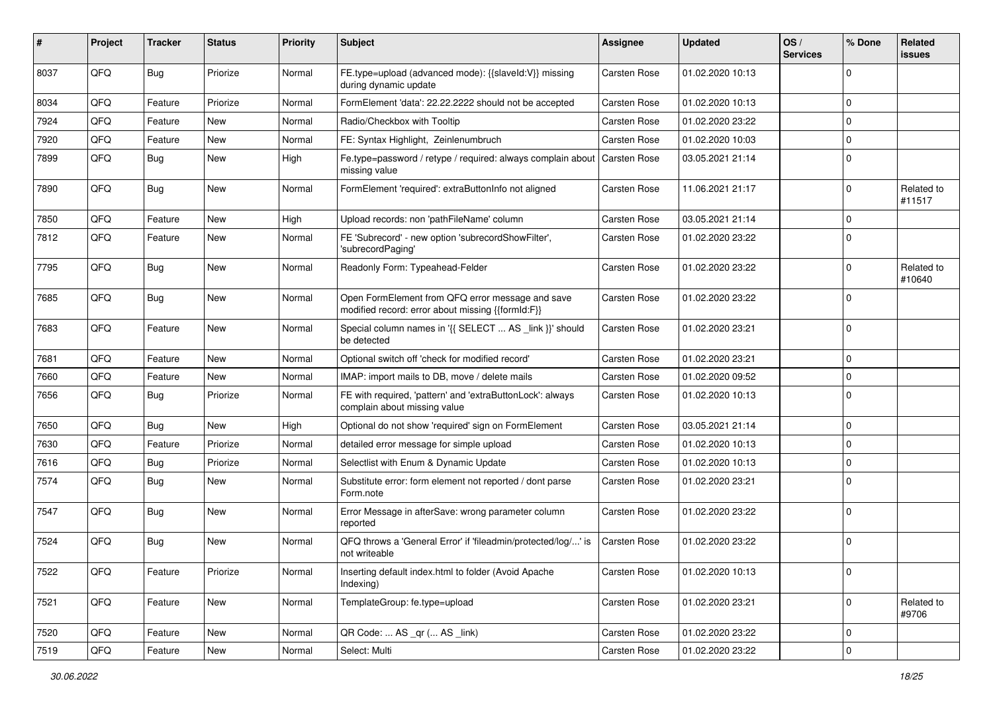| ∦    | Project | <b>Tracker</b> | <b>Status</b> | <b>Priority</b> | <b>Subject</b>                                                                                        | <b>Assignee</b>     | <b>Updated</b>   | OS/<br><b>Services</b> | % Done      | Related<br>issues    |
|------|---------|----------------|---------------|-----------------|-------------------------------------------------------------------------------------------------------|---------------------|------------------|------------------------|-------------|----------------------|
| 8037 | QFQ     | Bug            | Priorize      | Normal          | FE.type=upload (advanced mode): {{slaveId:V}} missing<br>during dynamic update                        | Carsten Rose        | 01.02.2020 10:13 |                        | $\Omega$    |                      |
| 8034 | QFQ     | Feature        | Priorize      | Normal          | FormElement 'data': 22.22.2222 should not be accepted                                                 | <b>Carsten Rose</b> | 01.02.2020 10:13 |                        | $\Omega$    |                      |
| 7924 | QFQ     | Feature        | New           | Normal          | Radio/Checkbox with Tooltip                                                                           | <b>Carsten Rose</b> | 01.02.2020 23:22 |                        | $\Omega$    |                      |
| 7920 | QFQ     | Feature        | New           | Normal          | FE: Syntax Highlight, Zeinlenumbruch                                                                  | Carsten Rose        | 01.02.2020 10:03 |                        | $\Omega$    |                      |
| 7899 | QFQ     | Bug            | New           | High            | Fe.type=password / retype / required: always complain about<br>missing value                          | Carsten Rose        | 03.05.2021 21:14 |                        | $\Omega$    |                      |
| 7890 | QFQ     | <b>Bug</b>     | <b>New</b>    | Normal          | FormElement 'required': extraButtonInfo not aligned                                                   | <b>Carsten Rose</b> | 11.06.2021 21:17 |                        | $\Omega$    | Related to<br>#11517 |
| 7850 | QFQ     | Feature        | New           | High            | Upload records: non 'pathFileName' column                                                             | <b>Carsten Rose</b> | 03.05.2021 21:14 |                        | 0           |                      |
| 7812 | QFQ     | Feature        | New           | Normal          | FE 'Subrecord' - new option 'subrecordShowFilter',<br>'subrecordPaging'                               | <b>Carsten Rose</b> | 01.02.2020 23:22 |                        | $\Omega$    |                      |
| 7795 | QFQ     | Bug            | New           | Normal          | Readonly Form: Typeahead-Felder                                                                       | Carsten Rose        | 01.02.2020 23:22 |                        | $\Omega$    | Related to<br>#10640 |
| 7685 | QFQ     | Bug            | <b>New</b>    | Normal          | Open FormElement from QFQ error message and save<br>modified record: error about missing {{formId:F}} | <b>Carsten Rose</b> | 01.02.2020 23:22 |                        | $\Omega$    |                      |
| 7683 | QFQ     | Feature        | New           | Normal          | Special column names in '{{ SELECT  AS _link }}' should<br>be detected                                | <b>Carsten Rose</b> | 01.02.2020 23:21 |                        | $\Omega$    |                      |
| 7681 | QFQ     | Feature        | <b>New</b>    | Normal          | Optional switch off 'check for modified record'                                                       | <b>Carsten Rose</b> | 01.02.2020 23:21 |                        | $\Omega$    |                      |
| 7660 | QFQ     | Feature        | New           | Normal          | IMAP: import mails to DB, move / delete mails                                                         | <b>Carsten Rose</b> | 01.02.2020 09:52 |                        | 0           |                      |
| 7656 | QFQ     | <b>Bug</b>     | Priorize      | Normal          | FE with required, 'pattern' and 'extraButtonLock': always<br>complain about missing value             | <b>Carsten Rose</b> | 01.02.2020 10:13 |                        | $\Omega$    |                      |
| 7650 | QFQ     | Bug            | <b>New</b>    | High            | Optional do not show 'required' sign on FormElement                                                   | <b>Carsten Rose</b> | 03.05.2021 21:14 |                        | 0           |                      |
| 7630 | QFQ     | Feature        | Priorize      | Normal          | detailed error message for simple upload                                                              | Carsten Rose        | 01.02.2020 10:13 |                        | $\Omega$    |                      |
| 7616 | QFQ     | <b>Bug</b>     | Priorize      | Normal          | Selectlist with Enum & Dynamic Update                                                                 | Carsten Rose        | 01.02.2020 10:13 |                        | $\Omega$    |                      |
| 7574 | QFQ     | Bug            | New           | Normal          | Substitute error: form element not reported / dont parse<br>Form.note                                 | Carsten Rose        | 01.02.2020 23:21 |                        | $\mathbf 0$ |                      |
| 7547 | QFQ     | Bug            | <b>New</b>    | Normal          | Error Message in afterSave: wrong parameter column<br>reported                                        | Carsten Rose        | 01.02.2020 23:22 |                        | $\mathbf 0$ |                      |
| 7524 | QFQ     | <b>Bug</b>     | New           | Normal          | QFQ throws a 'General Error' if 'fileadmin/protected/log/' is<br>not writeable                        | <b>Carsten Rose</b> | 01.02.2020 23:22 |                        | $\mathbf 0$ |                      |
| 7522 | QFQ     | Feature        | Priorize      | Normal          | Inserting default index.html to folder (Avoid Apache<br>Indexing)                                     | Carsten Rose        | 01.02.2020 10:13 |                        | 0           |                      |
| 7521 | QFQ     | Feature        | New           | Normal          | TemplateGroup: fe.type=upload                                                                         | Carsten Rose        | 01.02.2020 23:21 |                        | 0           | Related to<br>#9706  |
| 7520 | QFQ     | Feature        | New           | Normal          | QR Code:  AS _qr ( AS _link)                                                                          | Carsten Rose        | 01.02.2020 23:22 |                        | 0           |                      |
| 7519 | QFG     | Feature        | New           | Normal          | Select: Multi                                                                                         | Carsten Rose        | 01.02.2020 23:22 |                        | 0           |                      |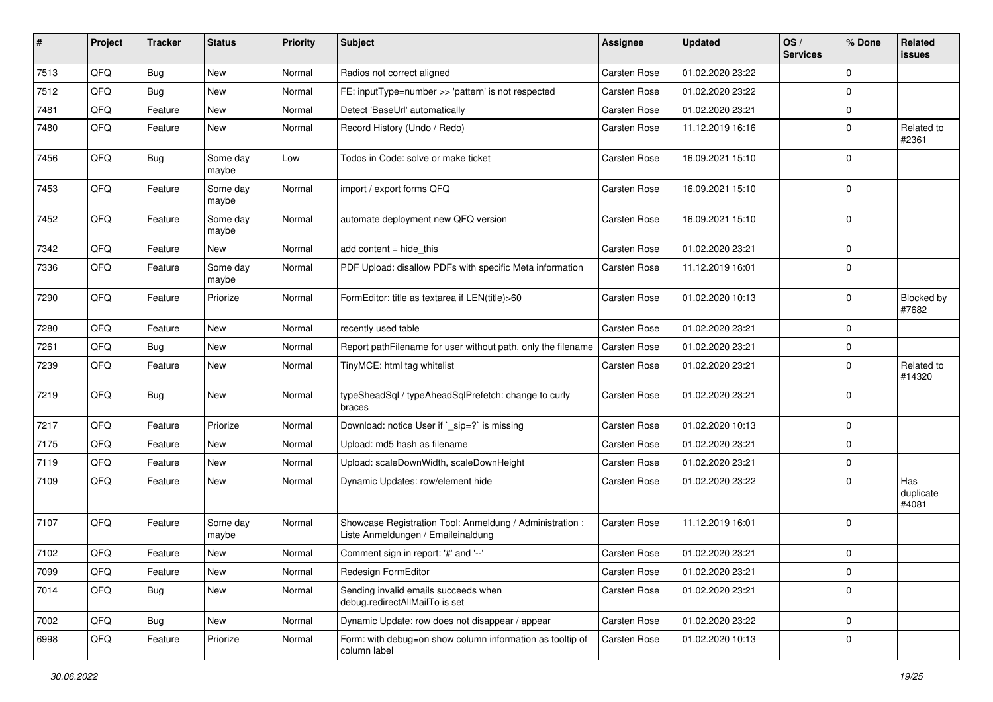| ∦    | Project | <b>Tracker</b> | <b>Status</b>     | <b>Priority</b> | <b>Subject</b>                                                                                 | Assignee            | <b>Updated</b>   | OS/<br><b>Services</b> | % Done      | Related<br>issues         |
|------|---------|----------------|-------------------|-----------------|------------------------------------------------------------------------------------------------|---------------------|------------------|------------------------|-------------|---------------------------|
| 7513 | QFQ     | <b>Bug</b>     | <b>New</b>        | Normal          | Radios not correct aligned                                                                     | Carsten Rose        | 01.02.2020 23:22 |                        | $\Omega$    |                           |
| 7512 | QFQ     | Bug            | <b>New</b>        | Normal          | FE: inputType=number >> 'pattern' is not respected                                             | <b>Carsten Rose</b> | 01.02.2020 23:22 |                        | 0           |                           |
| 7481 | QFQ     | Feature        | <b>New</b>        | Normal          | Detect 'BaseUrl' automatically                                                                 | <b>Carsten Rose</b> | 01.02.2020 23:21 |                        | 0           |                           |
| 7480 | QFQ     | Feature        | <b>New</b>        | Normal          | Record History (Undo / Redo)                                                                   | Carsten Rose        | 11.12.2019 16:16 |                        | $\Omega$    | Related to<br>#2361       |
| 7456 | QFQ     | <b>Bug</b>     | Some day<br>maybe | Low             | Todos in Code: solve or make ticket                                                            | <b>Carsten Rose</b> | 16.09.2021 15:10 |                        | $\Omega$    |                           |
| 7453 | QFQ     | Feature        | Some day<br>maybe | Normal          | import / export forms QFQ                                                                      | Carsten Rose        | 16.09.2021 15:10 |                        | $\Omega$    |                           |
| 7452 | QFQ     | Feature        | Some day<br>maybe | Normal          | automate deployment new QFQ version                                                            | Carsten Rose        | 16.09.2021 15:10 |                        | $\mathbf 0$ |                           |
| 7342 | QFQ     | Feature        | <b>New</b>        | Normal          | add content $=$ hide this                                                                      | <b>Carsten Rose</b> | 01.02.2020 23:21 |                        | $\mathbf 0$ |                           |
| 7336 | QFQ     | Feature        | Some day<br>maybe | Normal          | PDF Upload: disallow PDFs with specific Meta information                                       | Carsten Rose        | 11.12.2019 16:01 |                        | $\Omega$    |                           |
| 7290 | QFQ     | Feature        | Priorize          | Normal          | FormEditor: title as textarea if LEN(title)>60                                                 | Carsten Rose        | 01.02.2020 10:13 |                        | $\Omega$    | Blocked by<br>#7682       |
| 7280 | QFQ     | Feature        | New               | Normal          | recently used table                                                                            | Carsten Rose        | 01.02.2020 23:21 |                        | $\mathbf 0$ |                           |
| 7261 | QFQ     | <b>Bug</b>     | <b>New</b>        | Normal          | Report pathFilename for user without path, only the filename                                   | <b>Carsten Rose</b> | 01.02.2020 23:21 |                        | 0           |                           |
| 7239 | QFQ     | Feature        | New               | Normal          | TinyMCE: html tag whitelist                                                                    | Carsten Rose        | 01.02.2020 23:21 |                        | $\Omega$    | Related to<br>#14320      |
| 7219 | QFQ     | <b>Bug</b>     | <b>New</b>        | Normal          | typeSheadSql / typeAheadSqlPrefetch: change to curly<br>braces                                 | Carsten Rose        | 01.02.2020 23:21 |                        | $\Omega$    |                           |
| 7217 | QFQ     | Feature        | Priorize          | Normal          | Download: notice User if `_sip=?` is missing                                                   | Carsten Rose        | 01.02.2020 10:13 |                        | 0           |                           |
| 7175 | QFQ     | Feature        | <b>New</b>        | Normal          | Upload: md5 hash as filename                                                                   | Carsten Rose        | 01.02.2020 23:21 |                        | $\Omega$    |                           |
| 7119 | QFQ     | Feature        | New               | Normal          | Upload: scaleDownWidth, scaleDownHeight                                                        | Carsten Rose        | 01.02.2020 23:21 |                        | $\mathbf 0$ |                           |
| 7109 | QFQ     | Feature        | New               | Normal          | Dynamic Updates: row/element hide                                                              | Carsten Rose        | 01.02.2020 23:22 |                        | $\Omega$    | Has<br>duplicate<br>#4081 |
| 7107 | QFQ     | Feature        | Some day<br>maybe | Normal          | Showcase Registration Tool: Anmeldung / Administration :<br>Liste Anmeldungen / Emaileinaldung | Carsten Rose        | 11.12.2019 16:01 |                        | $\mathbf 0$ |                           |
| 7102 | QFQ     | Feature        | New               | Normal          | Comment sign in report: '#' and '--'                                                           | <b>Carsten Rose</b> | 01.02.2020 23:21 |                        | $\mathbf 0$ |                           |
| 7099 | QFQ     | Feature        | <b>New</b>        | Normal          | Redesign FormEditor                                                                            | Carsten Rose        | 01.02.2020 23:21 |                        | 0           |                           |
| 7014 | QFQ     | <b>Bug</b>     | New               | Normal          | Sending invalid emails succeeds when<br>debug.redirectAllMailTo is set                         | Carsten Rose        | 01.02.2020 23:21 |                        | $\mathbf 0$ |                           |
| 7002 | QFQ     | <b>Bug</b>     | New               | Normal          | Dynamic Update: row does not disappear / appear                                                | Carsten Rose        | 01.02.2020 23:22 |                        | 0           |                           |
| 6998 | QFQ     | Feature        | Priorize          | Normal          | Form: with debug=on show column information as tooltip of<br>column label                      | Carsten Rose        | 01.02.2020 10:13 |                        | 0           |                           |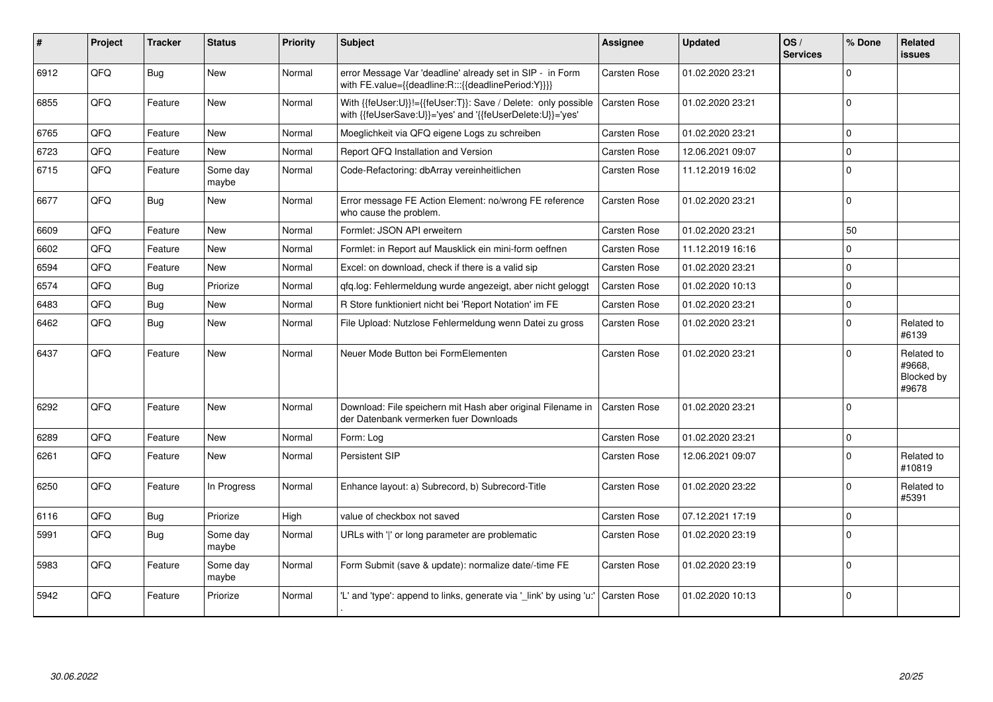| ∦    | Project | <b>Tracker</b> | <b>Status</b>     | <b>Priority</b> | <b>Subject</b>                                                                                                             | Assignee            | <b>Updated</b>   | OS/<br><b>Services</b> | % Done         | Related<br>issues                           |
|------|---------|----------------|-------------------|-----------------|----------------------------------------------------------------------------------------------------------------------------|---------------------|------------------|------------------------|----------------|---------------------------------------------|
| 6912 | QFQ     | Bug            | New               | Normal          | error Message Var 'deadline' already set in SIP - in Form<br>with FE.value={{deadline:R:::{{deadlinePeriod:Y}}}}           | Carsten Rose        | 01.02.2020 23:21 |                        | $\Omega$       |                                             |
| 6855 | QFQ     | Feature        | <b>New</b>        | Normal          | With {{feUser:U}}!={{feUser:T}}: Save / Delete: only possible<br>with {{feUserSave:U}}='yes' and '{{feUserDelete:U}}='yes' | <b>Carsten Rose</b> | 01.02.2020 23:21 |                        | $\Omega$       |                                             |
| 6765 | QFQ     | Feature        | <b>New</b>        | Normal          | Moeglichkeit via QFQ eigene Logs zu schreiben                                                                              | Carsten Rose        | 01.02.2020 23:21 |                        | $\mathbf 0$    |                                             |
| 6723 | QFQ     | Feature        | <b>New</b>        | Normal          | Report QFQ Installation and Version                                                                                        | Carsten Rose        | 12.06.2021 09:07 |                        | $\mathbf 0$    |                                             |
| 6715 | QFQ     | Feature        | Some day<br>maybe | Normal          | Code-Refactoring: dbArray vereinheitlichen                                                                                 | Carsten Rose        | 11.12.2019 16:02 |                        | $\Omega$       |                                             |
| 6677 | QFQ     | Bug            | <b>New</b>        | Normal          | Error message FE Action Element: no/wrong FE reference<br>who cause the problem.                                           | Carsten Rose        | 01.02.2020 23:21 |                        | $\Omega$       |                                             |
| 6609 | QFQ     | Feature        | <b>New</b>        | Normal          | Formlet: JSON API erweitern                                                                                                | Carsten Rose        | 01.02.2020 23:21 |                        | 50             |                                             |
| 6602 | QFQ     | Feature        | <b>New</b>        | Normal          | Formlet: in Report auf Mausklick ein mini-form oeffnen                                                                     | <b>Carsten Rose</b> | 11.12.2019 16:16 |                        | $\Omega$       |                                             |
| 6594 | QFQ     | Feature        | <b>New</b>        | Normal          | Excel: on download, check if there is a valid sip                                                                          | <b>Carsten Rose</b> | 01.02.2020 23:21 |                        | $\Omega$       |                                             |
| 6574 | QFQ     | Bug            | Priorize          | Normal          | qfq.log: Fehlermeldung wurde angezeigt, aber nicht geloggt                                                                 | <b>Carsten Rose</b> | 01.02.2020 10:13 |                        | $\Omega$       |                                             |
| 6483 | QFQ     | Bug            | <b>New</b>        | Normal          | R Store funktioniert nicht bei 'Report Notation' im FE                                                                     | Carsten Rose        | 01.02.2020 23:21 |                        | $\Omega$       |                                             |
| 6462 | QFQ     | Bug            | New               | Normal          | File Upload: Nutzlose Fehlermeldung wenn Datei zu gross                                                                    | Carsten Rose        | 01.02.2020 23:21 |                        | $\Omega$       | Related to<br>#6139                         |
| 6437 | QFQ     | Feature        | <b>New</b>        | Normal          | Neuer Mode Button bei FormElementen                                                                                        | <b>Carsten Rose</b> | 01.02.2020 23:21 |                        | $\Omega$       | Related to<br>#9668.<br>Blocked by<br>#9678 |
| 6292 | QFG     | Feature        | New               | Normal          | Download: File speichern mit Hash aber original Filename in<br>der Datenbank vermerken fuer Downloads                      | <b>Carsten Rose</b> | 01.02.2020 23:21 |                        | $\overline{0}$ |                                             |
| 6289 | QFQ     | Feature        | <b>New</b>        | Normal          | Form: Log                                                                                                                  | Carsten Rose        | 01.02.2020 23:21 |                        | $\Omega$       |                                             |
| 6261 | QFQ     | Feature        | New               | Normal          | Persistent SIP                                                                                                             | Carsten Rose        | 12.06.2021 09:07 |                        | $\Omega$       | Related to<br>#10819                        |
| 6250 | QFQ     | Feature        | In Progress       | Normal          | Enhance layout: a) Subrecord, b) Subrecord-Title                                                                           | Carsten Rose        | 01.02.2020 23:22 |                        | $\Omega$       | Related to<br>#5391                         |
| 6116 | QFQ     | Bug            | Priorize          | High            | value of checkbox not saved                                                                                                | <b>Carsten Rose</b> | 07.12.2021 17:19 |                        | $\Omega$       |                                             |
| 5991 | QFQ     | Bug            | Some day<br>maybe | Normal          | URLs with 'I' or long parameter are problematic                                                                            | Carsten Rose        | 01.02.2020 23:19 |                        | $\Omega$       |                                             |
| 5983 | QFQ     | Feature        | Some day<br>maybe | Normal          | Form Submit (save & update): normalize date/-time FE                                                                       | Carsten Rose        | 01.02.2020 23:19 |                        | $\Omega$       |                                             |
| 5942 | QFQ     | Feature        | Priorize          | Normal          | 'L' and 'type': append to links, generate via 'link' by using 'u:'                                                         | <b>Carsten Rose</b> | 01.02.2020 10:13 |                        | $\Omega$       |                                             |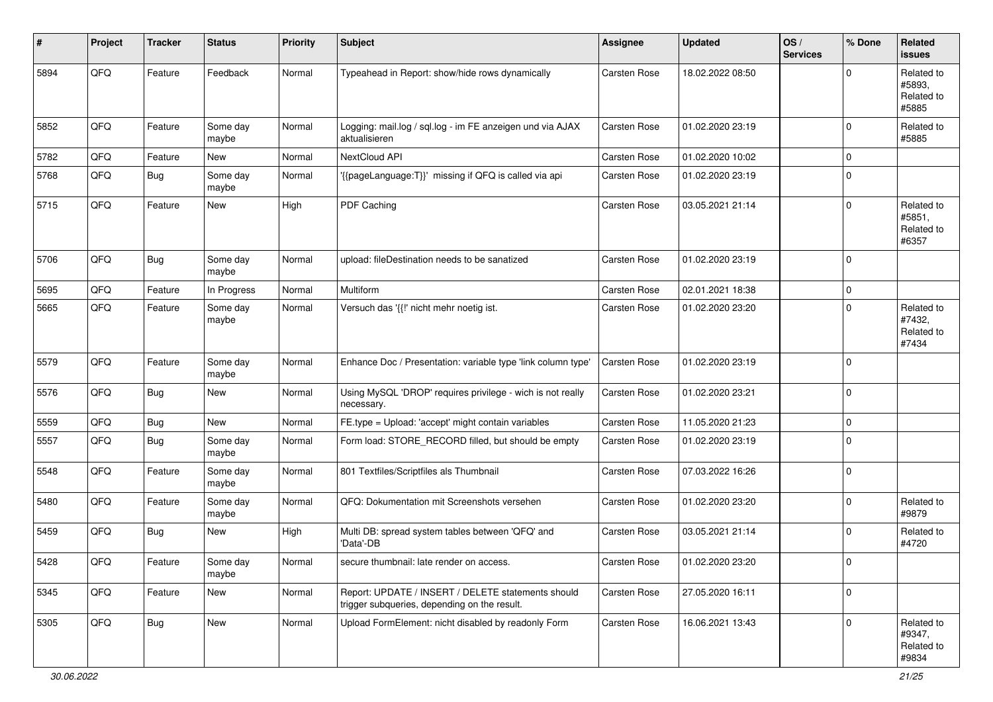| #    | Project        | <b>Tracker</b> | <b>Status</b>     | <b>Priority</b> | <b>Subject</b>                                                                                     | <b>Assignee</b>     | <b>Updated</b>   | OS/<br><b>Services</b> | % Done      | Related<br><b>issues</b>                    |
|------|----------------|----------------|-------------------|-----------------|----------------------------------------------------------------------------------------------------|---------------------|------------------|------------------------|-------------|---------------------------------------------|
| 5894 | QFQ            | Feature        | Feedback          | Normal          | Typeahead in Report: show/hide rows dynamically                                                    | <b>Carsten Rose</b> | 18.02.2022 08:50 |                        | $\Omega$    | Related to<br>#5893.<br>Related to<br>#5885 |
| 5852 | QFQ            | Feature        | Some day<br>maybe | Normal          | Logging: mail.log / sql.log - im FE anzeigen und via AJAX<br>aktualisieren                         | Carsten Rose        | 01.02.2020 23:19 |                        | $\Omega$    | Related to<br>#5885                         |
| 5782 | QFQ            | Feature        | New               | Normal          | NextCloud API                                                                                      | Carsten Rose        | 01.02.2020 10:02 |                        | $\mathbf 0$ |                                             |
| 5768 | QFQ            | Bug            | Some day<br>maybe | Normal          | '{{pageLanguage:T}}' missing if QFQ is called via api                                              | Carsten Rose        | 01.02.2020 23:19 |                        | $\Omega$    |                                             |
| 5715 | QFQ            | Feature        | New               | High            | PDF Caching                                                                                        | Carsten Rose        | 03.05.2021 21:14 |                        | $\Omega$    | Related to<br>#5851,<br>Related to<br>#6357 |
| 5706 | QFQ            | Bug            | Some day<br>maybe | Normal          | upload: fileDestination needs to be sanatized                                                      | Carsten Rose        | 01.02.2020 23:19 |                        | $\mathbf 0$ |                                             |
| 5695 | QFQ            | Feature        | In Progress       | Normal          | Multiform                                                                                          | Carsten Rose        | 02.01.2021 18:38 |                        | $\mathbf 0$ |                                             |
| 5665 | QFQ            | Feature        | Some day<br>maybe | Normal          | Versuch das '{{!' nicht mehr noetig ist.                                                           | Carsten Rose        | 01.02.2020 23:20 |                        | $\Omega$    | Related to<br>#7432,<br>Related to<br>#7434 |
| 5579 | QFQ            | Feature        | Some day<br>maybe | Normal          | Enhance Doc / Presentation: variable type 'link column type'                                       | Carsten Rose        | 01.02.2020 23:19 |                        | $\mathbf 0$ |                                             |
| 5576 | QFQ            | <b>Bug</b>     | <b>New</b>        | Normal          | Using MySQL 'DROP' requires privilege - wich is not really<br>necessary.                           | Carsten Rose        | 01.02.2020 23:21 |                        | $\mathbf 0$ |                                             |
| 5559 | QFQ            | <b>Bug</b>     | New               | Normal          | FE.type = Upload: 'accept' might contain variables                                                 | Carsten Rose        | 11.05.2020 21:23 |                        | $\mathbf 0$ |                                             |
| 5557 | QFQ            | <b>Bug</b>     | Some day<br>maybe | Normal          | Form load: STORE_RECORD filled, but should be empty                                                | Carsten Rose        | 01.02.2020 23:19 |                        | 0           |                                             |
| 5548 | QFQ            | Feature        | Some day<br>maybe | Normal          | 801 Textfiles/Scriptfiles als Thumbnail                                                            | Carsten Rose        | 07.03.2022 16:26 |                        | $\mathbf 0$ |                                             |
| 5480 | QFQ            | Feature        | Some day<br>maybe | Normal          | QFQ: Dokumentation mit Screenshots versehen                                                        | Carsten Rose        | 01.02.2020 23:20 |                        | 0           | Related to<br>#9879                         |
| 5459 | QFQ            | <b>Bug</b>     | New               | High            | Multi DB: spread system tables between 'QFQ' and<br>'Data'-DB                                      | Carsten Rose        | 03.05.2021 21:14 |                        | $\mathbf 0$ | Related to<br>#4720                         |
| 5428 | $\mathsf{QFQ}$ | Feature        | Some day<br>maybe | Normal          | secure thumbnail: late render on access.                                                           | Carsten Rose        | 01.02.2020 23:20 |                        | $\mathbf 0$ |                                             |
| 5345 | QFQ            | Feature        | New               | Normal          | Report: UPDATE / INSERT / DELETE statements should<br>trigger subqueries, depending on the result. | Carsten Rose        | 27.05.2020 16:11 |                        | $\mathbf 0$ |                                             |
| 5305 | QFQ            | <b>Bug</b>     | New               | Normal          | Upload FormElement: nicht disabled by readonly Form                                                | Carsten Rose        | 16.06.2021 13:43 |                        | $\mathbf 0$ | Related to<br>#9347,<br>Related to<br>#9834 |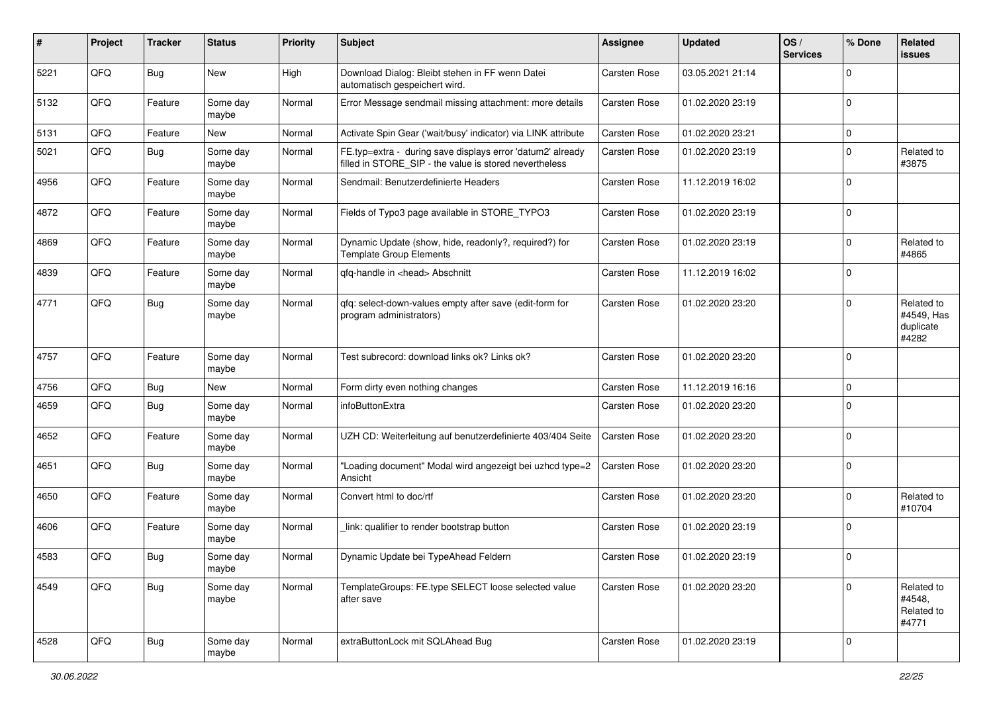| #    | Project | <b>Tracker</b> | <b>Status</b>     | <b>Priority</b> | <b>Subject</b>                                                                                                       | <b>Assignee</b> | <b>Updated</b>   | OS/<br><b>Services</b> | % Done      | Related<br>issues                              |
|------|---------|----------------|-------------------|-----------------|----------------------------------------------------------------------------------------------------------------------|-----------------|------------------|------------------------|-------------|------------------------------------------------|
| 5221 | QFQ     | Bug            | New               | High            | Download Dialog: Bleibt stehen in FF wenn Datei<br>automatisch gespeichert wird.                                     | Carsten Rose    | 03.05.2021 21:14 |                        | $\mathbf 0$ |                                                |
| 5132 | QFQ     | Feature        | Some day<br>maybe | Normal          | Error Message sendmail missing attachment: more details                                                              | Carsten Rose    | 01.02.2020 23:19 |                        | $\mathbf 0$ |                                                |
| 5131 | QFQ     | Feature        | New               | Normal          | Activate Spin Gear ('wait/busy' indicator) via LINK attribute                                                        | Carsten Rose    | 01.02.2020 23:21 |                        | $\mathbf 0$ |                                                |
| 5021 | QFQ     | <b>Bug</b>     | Some day<br>maybe | Normal          | FE.typ=extra - during save displays error 'datum2' already<br>filled in STORE SIP - the value is stored nevertheless | Carsten Rose    | 01.02.2020 23:19 |                        | $\Omega$    | Related to<br>#3875                            |
| 4956 | QFQ     | Feature        | Some day<br>maybe | Normal          | Sendmail: Benutzerdefinierte Headers                                                                                 | Carsten Rose    | 11.12.2019 16:02 |                        | $\mathbf 0$ |                                                |
| 4872 | QFQ     | Feature        | Some day<br>maybe | Normal          | Fields of Typo3 page available in STORE_TYPO3                                                                        | Carsten Rose    | 01.02.2020 23:19 |                        | $\mathbf 0$ |                                                |
| 4869 | QFQ     | Feature        | Some day<br>maybe | Normal          | Dynamic Update (show, hide, readonly?, required?) for<br><b>Template Group Elements</b>                              | Carsten Rose    | 01.02.2020 23:19 |                        | $\mathbf 0$ | Related to<br>#4865                            |
| 4839 | QFQ     | Feature        | Some day<br>maybe | Normal          | gfg-handle in <head> Abschnitt</head>                                                                                | Carsten Rose    | 11.12.2019 16:02 |                        | $\mathbf 0$ |                                                |
| 4771 | QFQ     | Bug            | Some day<br>maybe | Normal          | qfq: select-down-values empty after save (edit-form for<br>program administrators)                                   | Carsten Rose    | 01.02.2020 23:20 |                        | 0           | Related to<br>#4549, Has<br>duplicate<br>#4282 |
| 4757 | QFQ     | Feature        | Some day<br>maybe | Normal          | Test subrecord: download links ok? Links ok?                                                                         | Carsten Rose    | 01.02.2020 23:20 |                        | 0           |                                                |
| 4756 | QFQ     | <b>Bug</b>     | New               | Normal          | Form dirty even nothing changes                                                                                      | Carsten Rose    | 11.12.2019 16:16 |                        | $\mathbf 0$ |                                                |
| 4659 | QFQ     | <b>Bug</b>     | Some day<br>maybe | Normal          | infoButtonExtra                                                                                                      | Carsten Rose    | 01.02.2020 23:20 |                        | $\Omega$    |                                                |
| 4652 | QFQ     | Feature        | Some day<br>maybe | Normal          | UZH CD: Weiterleitung auf benutzerdefinierte 403/404 Seite                                                           | Carsten Rose    | 01.02.2020 23:20 |                        | $\mathbf 0$ |                                                |
| 4651 | QFQ     | <b>Bug</b>     | Some day<br>maybe | Normal          | "Loading document" Modal wird angezeigt bei uzhcd type=2<br>Ansicht                                                  | Carsten Rose    | 01.02.2020 23:20 |                        | $\mathbf 0$ |                                                |
| 4650 | QFQ     | Feature        | Some day<br>maybe | Normal          | Convert html to doc/rtf                                                                                              | Carsten Rose    | 01.02.2020 23:20 |                        | $\mathbf 0$ | Related to<br>#10704                           |
| 4606 | QFQ     | Feature        | Some day<br>maybe | Normal          | link: qualifier to render bootstrap button                                                                           | Carsten Rose    | 01.02.2020 23:19 |                        | 0           |                                                |
| 4583 | QFQ     | Bug            | Some day<br>maybe | Normal          | Dynamic Update bei TypeAhead Feldern                                                                                 | Carsten Rose    | 01.02.2020 23:19 |                        | 0           |                                                |
| 4549 | QFQ     | Bug            | Some day<br>maybe | Normal          | TemplateGroups: FE.type SELECT loose selected value<br>after save                                                    | Carsten Rose    | 01.02.2020 23:20 |                        | $\Omega$    | Related to<br>#4548,<br>Related to<br>#4771    |
| 4528 | QFQ     | <b>Bug</b>     | Some day<br>maybe | Normal          | extraButtonLock mit SQLAhead Bug                                                                                     | Carsten Rose    | 01.02.2020 23:19 |                        | 0           |                                                |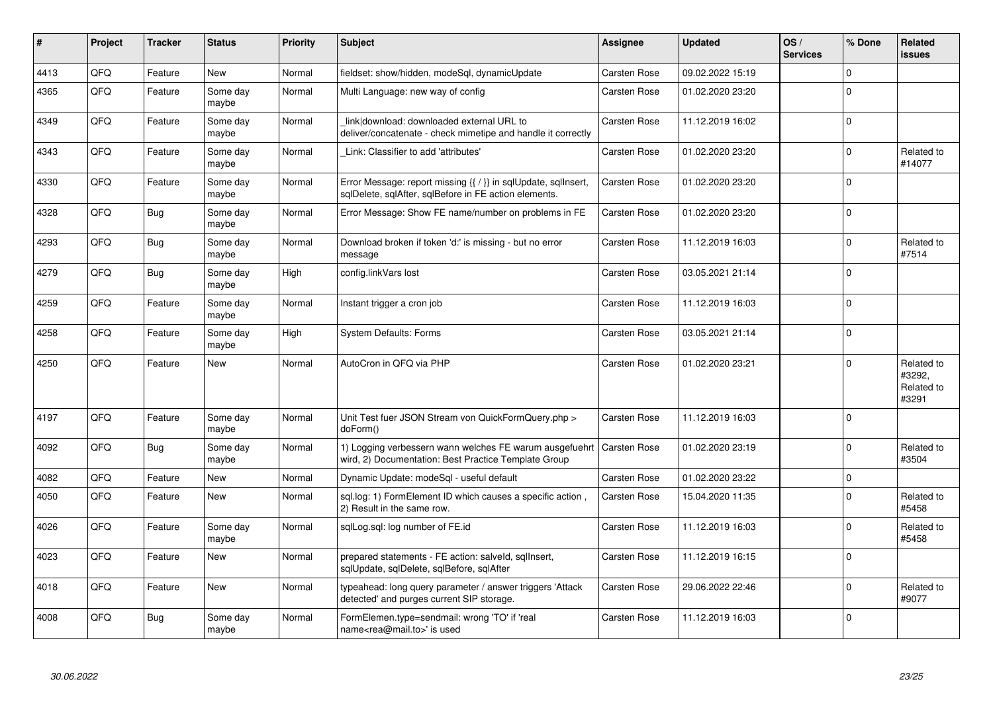| #    | Project | <b>Tracker</b> | <b>Status</b>     | <b>Priority</b> | <b>Subject</b>                                                                                                          | <b>Assignee</b>     | <b>Updated</b>   | OS/<br><b>Services</b> | % Done       | Related<br><b>issues</b>                    |
|------|---------|----------------|-------------------|-----------------|-------------------------------------------------------------------------------------------------------------------------|---------------------|------------------|------------------------|--------------|---------------------------------------------|
| 4413 | QFQ     | Feature        | <b>New</b>        | Normal          | fieldset: show/hidden, modeSql, dynamicUpdate                                                                           | <b>Carsten Rose</b> | 09.02.2022 15:19 |                        | $\Omega$     |                                             |
| 4365 | QFQ     | Feature        | Some day<br>maybe | Normal          | Multi Language: new way of config                                                                                       | Carsten Rose        | 01.02.2020 23:20 |                        | $\Omega$     |                                             |
| 4349 | QFQ     | Feature        | Some day<br>maybe | Normal          | link download: downloaded external URL to<br>deliver/concatenate - check mimetipe and handle it correctly               | <b>Carsten Rose</b> | 11.12.2019 16:02 |                        | $\Omega$     |                                             |
| 4343 | QFQ     | Feature        | Some day<br>maybe | Normal          | Link: Classifier to add 'attributes'                                                                                    | <b>Carsten Rose</b> | 01.02.2020 23:20 |                        | $\mathbf 0$  | Related to<br>#14077                        |
| 4330 | QFQ     | Feature        | Some day<br>maybe | Normal          | Error Message: report missing {{ / }} in sqlUpdate, sqlInsert,<br>sqlDelete, sqlAfter, sqlBefore in FE action elements. | <b>Carsten Rose</b> | 01.02.2020 23:20 |                        | $\Omega$     |                                             |
| 4328 | QFQ     | Bug            | Some day<br>maybe | Normal          | Error Message: Show FE name/number on problems in FE                                                                    | Carsten Rose        | 01.02.2020 23:20 |                        | $\Omega$     |                                             |
| 4293 | QFQ     | <b>Bug</b>     | Some day<br>maybe | Normal          | Download broken if token 'd:' is missing - but no error<br>message                                                      | Carsten Rose        | 11.12.2019 16:03 |                        | $\mathbf 0$  | Related to<br>#7514                         |
| 4279 | QFQ     | <b>Bug</b>     | Some day<br>maybe | High            | config.linkVars lost                                                                                                    | Carsten Rose        | 03.05.2021 21:14 |                        | $\Omega$     |                                             |
| 4259 | QFQ     | Feature        | Some day<br>maybe | Normal          | Instant trigger a cron job                                                                                              | <b>Carsten Rose</b> | 11.12.2019 16:03 |                        | $\Omega$     |                                             |
| 4258 | QFQ     | Feature        | Some day<br>maybe | High            | <b>System Defaults: Forms</b>                                                                                           | <b>Carsten Rose</b> | 03.05.2021 21:14 |                        | $\Omega$     |                                             |
| 4250 | QFQ     | Feature        | <b>New</b>        | Normal          | AutoCron in QFQ via PHP                                                                                                 | Carsten Rose        | 01.02.2020 23:21 |                        | $\Omega$     | Related to<br>#3292,<br>Related to<br>#3291 |
| 4197 | QFQ     | Feature        | Some day<br>maybe | Normal          | Unit Test fuer JSON Stream von QuickFormQuery.php ><br>doForm()                                                         | <b>Carsten Rose</b> | 11.12.2019 16:03 |                        | $\mathbf 0$  |                                             |
| 4092 | QFQ     | <b>Bug</b>     | Some day<br>maybe | Normal          | 1) Logging verbessern wann welches FE warum ausgefuehrt<br>wird, 2) Documentation: Best Practice Template Group         | Carsten Rose        | 01.02.2020 23:19 |                        | $\Omega$     | Related to<br>#3504                         |
| 4082 | QFQ     | Feature        | <b>New</b>        | Normal          | Dynamic Update: modeSql - useful default                                                                                | Carsten Rose        | 01.02.2020 23:22 |                        | $\mathbf 0$  |                                             |
| 4050 | QFQ     | Feature        | New               | Normal          | sql.log: 1) FormElement ID which causes a specific action,<br>2) Result in the same row.                                | <b>Carsten Rose</b> | 15.04.2020 11:35 |                        | $\Omega$     | Related to<br>#5458                         |
| 4026 | QFQ     | Feature        | Some day<br>maybe | Normal          | sglLog.sgl: log number of FE.id                                                                                         | Carsten Rose        | 11.12.2019 16:03 |                        | $\Omega$     | Related to<br>#5458                         |
| 4023 | QFQ     | Feature        | <b>New</b>        | Normal          | prepared statements - FE action: salveld, sqllnsert,<br>sqlUpdate, sqlDelete, sqlBefore, sqlAfter                       | <b>Carsten Rose</b> | 11.12.2019 16:15 |                        | $\mathbf{0}$ |                                             |
| 4018 | QFQ     | Feature        | New               | Normal          | typeahead: long query parameter / answer triggers 'Attack<br>detected' and purges current SIP storage.                  | Carsten Rose        | 29.06.2022 22:46 |                        | $\Omega$     | Related to<br>#9077                         |
| 4008 | QFQ     | Bug            | Some day<br>maybe | Normal          | FormElemen.type=sendmail: wrong 'TO' if 'real<br>name <rea@mail.to>' is used</rea@mail.to>                              | Carsten Rose        | 11.12.2019 16:03 |                        | $\Omega$     |                                             |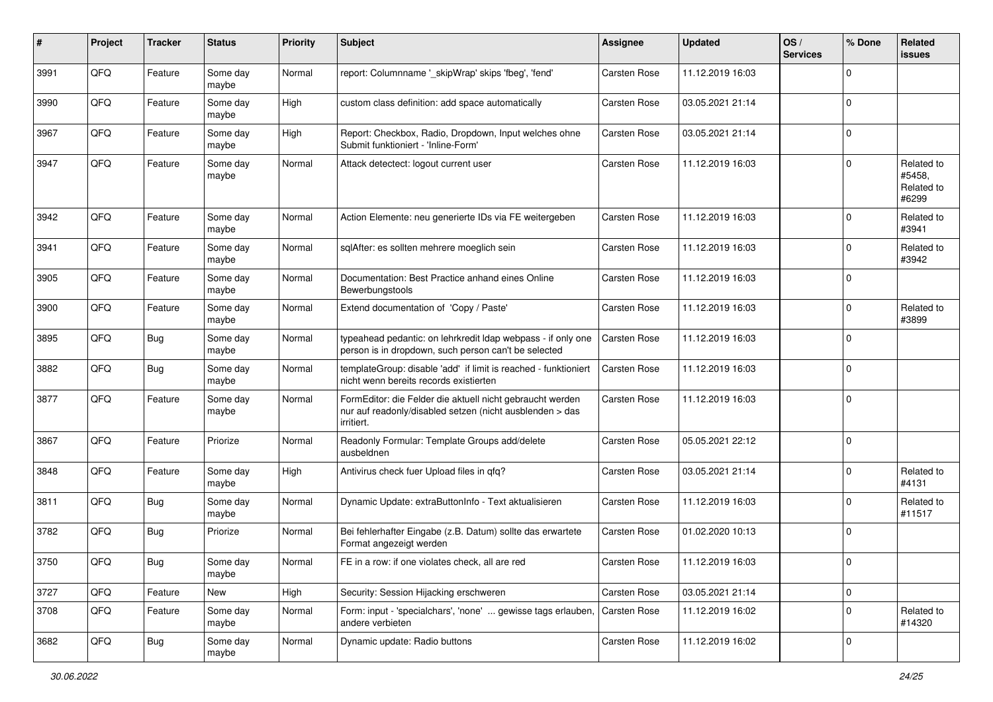| #    | Project | <b>Tracker</b> | <b>Status</b>     | <b>Priority</b> | Subject                                                                                                                             | <b>Assignee</b>     | <b>Updated</b>   | OS/<br><b>Services</b> | % Done         | Related<br><b>issues</b>                    |
|------|---------|----------------|-------------------|-----------------|-------------------------------------------------------------------------------------------------------------------------------------|---------------------|------------------|------------------------|----------------|---------------------------------------------|
| 3991 | QFQ     | Feature        | Some day<br>maybe | Normal          | report: Columnname '_skipWrap' skips 'fbeg', 'fend'                                                                                 | <b>Carsten Rose</b> | 11.12.2019 16:03 |                        | $\Omega$       |                                             |
| 3990 | QFQ     | Feature        | Some day<br>maybe | High            | custom class definition: add space automatically                                                                                    | Carsten Rose        | 03.05.2021 21:14 |                        | $\mathbf 0$    |                                             |
| 3967 | QFQ     | Feature        | Some day<br>maybe | High            | Report: Checkbox, Radio, Dropdown, Input welches ohne<br>Submit funktioniert - 'Inline-Form'                                        | Carsten Rose        | 03.05.2021 21:14 |                        | $\Omega$       |                                             |
| 3947 | QFQ     | Feature        | Some day<br>maybe | Normal          | Attack detectect: logout current user                                                                                               | <b>Carsten Rose</b> | 11.12.2019 16:03 |                        | $\Omega$       | Related to<br>#5458,<br>Related to<br>#6299 |
| 3942 | QFQ     | Feature        | Some day<br>maybe | Normal          | Action Elemente: neu generierte IDs via FE weitergeben                                                                              | <b>Carsten Rose</b> | 11.12.2019 16:03 |                        | $\Omega$       | Related to<br>#3941                         |
| 3941 | QFQ     | Feature        | Some day<br>maybe | Normal          | sqlAfter: es sollten mehrere moeglich sein                                                                                          | <b>Carsten Rose</b> | 11.12.2019 16:03 |                        | $\mathbf 0$    | Related to<br>#3942                         |
| 3905 | QFQ     | Feature        | Some day<br>maybe | Normal          | Documentation: Best Practice anhand eines Online<br>Bewerbungstools                                                                 | Carsten Rose        | 11.12.2019 16:03 |                        | $\mathbf 0$    |                                             |
| 3900 | QFQ     | Feature        | Some day<br>maybe | Normal          | Extend documentation of 'Copy / Paste'                                                                                              | Carsten Rose        | 11.12.2019 16:03 |                        | $\Omega$       | Related to<br>#3899                         |
| 3895 | QFQ     | <b>Bug</b>     | Some day<br>maybe | Normal          | typeahead pedantic: on lehrkredit Idap webpass - if only one<br>person is in dropdown, such person can't be selected                | Carsten Rose        | 11.12.2019 16:03 |                        | $\Omega$       |                                             |
| 3882 | QFQ     | <b>Bug</b>     | Some day<br>maybe | Normal          | templateGroup: disable 'add' if limit is reached - funktioniert<br>nicht wenn bereits records existierten                           | Carsten Rose        | 11.12.2019 16:03 |                        | $\mathbf 0$    |                                             |
| 3877 | QFQ     | Feature        | Some day<br>maybe | Normal          | FormEditor: die Felder die aktuell nicht gebraucht werden<br>nur auf readonly/disabled setzen (nicht ausblenden > das<br>irritiert. | Carsten Rose        | 11.12.2019 16:03 |                        | $\overline{0}$ |                                             |
| 3867 | QFQ     | Feature        | Priorize          | Normal          | Readonly Formular: Template Groups add/delete<br>ausbeldnen                                                                         | Carsten Rose        | 05.05.2021 22:12 |                        | 0              |                                             |
| 3848 | QFQ     | Feature        | Some day<br>maybe | High            | Antivirus check fuer Upload files in qfq?                                                                                           | Carsten Rose        | 03.05.2021 21:14 |                        | $\Omega$       | Related to<br>#4131                         |
| 3811 | QFQ     | Bug            | Some day<br>maybe | Normal          | Dynamic Update: extraButtonInfo - Text aktualisieren                                                                                | Carsten Rose        | 11.12.2019 16:03 |                        | $\Omega$       | Related to<br>#11517                        |
| 3782 | QFQ     | Bug            | Priorize          | Normal          | Bei fehlerhafter Eingabe (z.B. Datum) sollte das erwartete<br>Format angezeigt werden                                               | Carsten Rose        | 01.02.2020 10:13 |                        | $\Omega$       |                                             |
| 3750 | QFG     | Bug            | Some day<br>maybe | Normal          | FE in a row: if one violates check, all are red                                                                                     | Carsten Rose        | 11.12.2019 16:03 |                        |                |                                             |
| 3727 | QFQ     | Feature        | New               | High            | Security: Session Hijacking erschweren                                                                                              | Carsten Rose        | 03.05.2021 21:14 |                        | $\mathbf 0$    |                                             |
| 3708 | QFQ     | Feature        | Some day<br>maybe | Normal          | Form: input - 'specialchars', 'none'  gewisse tags erlauben,<br>andere verbieten                                                    | Carsten Rose        | 11.12.2019 16:02 |                        | $\mathbf 0$    | Related to<br>#14320                        |
| 3682 | QFQ     | <b>Bug</b>     | Some day<br>maybe | Normal          | Dynamic update: Radio buttons                                                                                                       | Carsten Rose        | 11.12.2019 16:02 |                        | 0              |                                             |